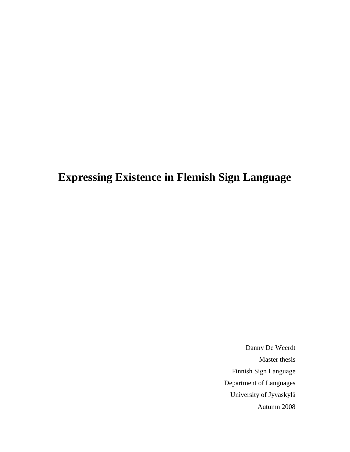# **Expressing Existence in Flemish Sign Language**

Danny De Weerdt Master thesis Finnish Sign Language Department of Languages University of Jyväskylä Autumn 2008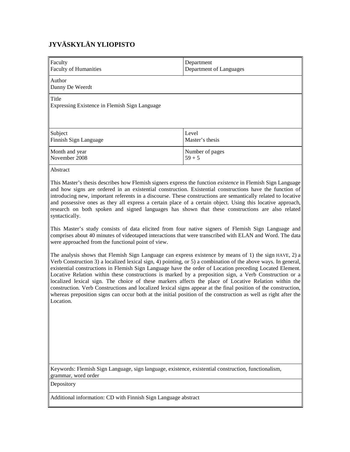## **JYVÄSKYLÄN YLIOPISTO**

| Faculty<br>Department<br><b>Faculty of Humanities</b><br>Department of Languages                                                                                                                                                                                                                                                                                                                                                                                                                                                                                                                                                                                                                                                                                                                          |                             |  |  |  |
|-----------------------------------------------------------------------------------------------------------------------------------------------------------------------------------------------------------------------------------------------------------------------------------------------------------------------------------------------------------------------------------------------------------------------------------------------------------------------------------------------------------------------------------------------------------------------------------------------------------------------------------------------------------------------------------------------------------------------------------------------------------------------------------------------------------|-----------------------------|--|--|--|
| Author<br>Danny De Weerdt                                                                                                                                                                                                                                                                                                                                                                                                                                                                                                                                                                                                                                                                                                                                                                                 |                             |  |  |  |
| Title<br>Expressing Existence in Flemish Sign Language                                                                                                                                                                                                                                                                                                                                                                                                                                                                                                                                                                                                                                                                                                                                                    |                             |  |  |  |
| Subject<br>Finnish Sign Language                                                                                                                                                                                                                                                                                                                                                                                                                                                                                                                                                                                                                                                                                                                                                                          | Level<br>Master's thesis    |  |  |  |
| Month and year<br>November 2008                                                                                                                                                                                                                                                                                                                                                                                                                                                                                                                                                                                                                                                                                                                                                                           | Number of pages<br>$59 + 5$ |  |  |  |
| Abstract                                                                                                                                                                                                                                                                                                                                                                                                                                                                                                                                                                                                                                                                                                                                                                                                  |                             |  |  |  |
| This Master's thesis describes how Flemish signers express the function existence in Flemish Sign Language<br>and how signs are ordered in an existential construction. Existential constructions have the function of<br>introducing new, important referents in a discourse. These constructions are semantically related to locative<br>and possessive ones as they all express a certain place of a certain object. Using this locative approach,<br>research on both spoken and signed languages has shown that these constructions are also related<br>syntactically.<br>This Master's study consists of data elicited from four native signers of Flemish Sign Language and                                                                                                                        |                             |  |  |  |
| comprises about 40 minutes of videotaped interactions that were transcribed with ELAN and Word. The data<br>were approached from the functional point of view.                                                                                                                                                                                                                                                                                                                                                                                                                                                                                                                                                                                                                                            |                             |  |  |  |
| The analysis shows that Flemish Sign Language can express existence by means of 1) the sign HAVE, 2) a<br>Verb Construction 3) a localized lexical sign, 4) pointing, or 5) a combination of the above ways. In general,<br>existential constructions in Flemish Sign Language have the order of Location preceding Located Element.<br>Locative Relation within these constructions is marked by a preposition sign, a Verb Construction or a<br>localized lexical sign. The choice of these markers affects the place of Locative Relation within the<br>construction. Verb Constructions and localized lexical signs appear at the final position of the construction,<br>whereas preposition signs can occur both at the initial position of the construction as well as right after the<br>Location. |                             |  |  |  |
| Keywords: Flemish Sign Language, sign language, existence, existential construction, functionalism,<br>grammar, word order                                                                                                                                                                                                                                                                                                                                                                                                                                                                                                                                                                                                                                                                                |                             |  |  |  |
| Depository                                                                                                                                                                                                                                                                                                                                                                                                                                                                                                                                                                                                                                                                                                                                                                                                |                             |  |  |  |
| Additional information: CD with Finnish Sign Language abstract                                                                                                                                                                                                                                                                                                                                                                                                                                                                                                                                                                                                                                                                                                                                            |                             |  |  |  |
|                                                                                                                                                                                                                                                                                                                                                                                                                                                                                                                                                                                                                                                                                                                                                                                                           |                             |  |  |  |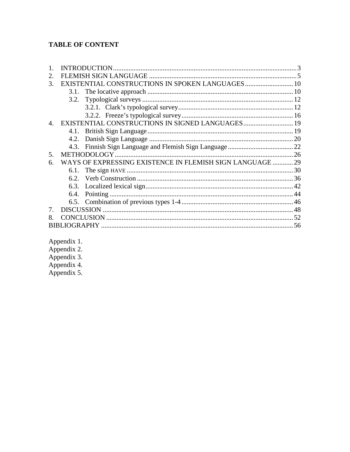### **TABLE OF CONTENT**

| 2.                    |                                                           |  |
|-----------------------|-----------------------------------------------------------|--|
| 3.                    | EXISTENTIAL CONSTRUCTIONS IN SPOKEN LANGUAGES  10         |  |
|                       |                                                           |  |
|                       |                                                           |  |
|                       |                                                           |  |
|                       |                                                           |  |
| $\mathcal{A}_{\cdot}$ | EXISTENTIAL CONSTRUCTIONS IN SIGNED LANGUAGES 19          |  |
|                       |                                                           |  |
|                       |                                                           |  |
|                       |                                                           |  |
| 5.                    |                                                           |  |
| 6.                    | WAYS OF EXPRESSING EXISTENCE IN FLEMISH SIGN LANGUAGE  29 |  |
|                       |                                                           |  |
|                       |                                                           |  |
|                       |                                                           |  |
|                       |                                                           |  |
|                       |                                                           |  |
| 7 <sub>1</sub>        |                                                           |  |
|                       |                                                           |  |
|                       |                                                           |  |
|                       |                                                           |  |

- Appendix 1.<br>Appendix 2.<br>Appendix 3.<br>Appendix 4.
- 

Appendix 5.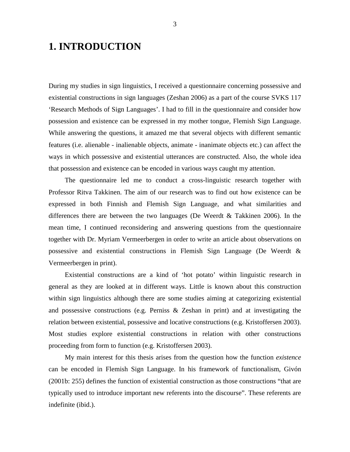# **1. INTRODUCTION**

During my studies in sign linguistics, I received a questionnaire concerning possessive and existential constructions in sign languages (Zeshan 2006) as a part of the course SVKS 117 'Research Methods of Sign Languages'. I had to fill in the questionnaire and consider how possession and existence can be expressed in my mother tongue, Flemish Sign Language. While answering the questions, it amazed me that several objects with different semantic features (i.e. alienable - inalienable objects, animate - inanimate objects etc.) can affect the ways in which possessive and existential utterances are constructed. Also, the whole idea that possession and existence can be encoded in various ways caught my attention.

The questionnaire led me to conduct a cross-linguistic research together with Professor Ritva Takkinen. The aim of our research was to find out how existence can be expressed in both Finnish and Flemish Sign Language, and what similarities and differences there are between the two languages (De Weerdt & Takkinen 2006). In the mean time, I continued reconsidering and answering questions from the questionnaire together with Dr. Myriam Vermeerbergen in order to write an article about observations on possessive and existential constructions in Flemish Sign Language (De Weerdt & Vermeerbergen in print).

Existential constructions are a kind of 'hot potato' within linguistic research in general as they are looked at in different ways. Little is known about this construction within sign linguistics although there are some studies aiming at categorizing existential and possessive constructions (e.g. Perniss & Zeshan in print) and at investigating the relation between existential, possessive and locative constructions (e.g. Kristoffersen 2003). Most studies explore existential constructions in relation with other constructions proceeding from form to function (e.g. Kristoffersen 2003).

My main interest for this thesis arises from the question how the function *existence* can be encoded in Flemish Sign Language. In his framework of functionalism, Givón (2001b: 255) defines the function of existential construction as those constructions "that are typically used to introduce important new referents into the discourse". These referents are indefinite (ibid.).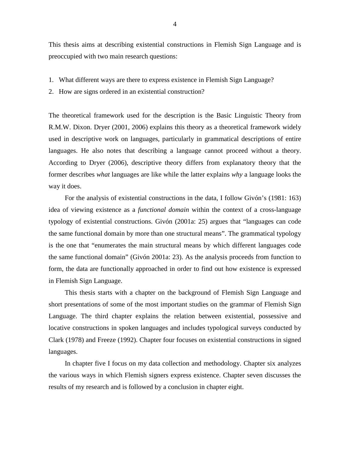This thesis aims at describing existential constructions in Flemish Sign Language and is preoccupied with two main research questions:

- 1. What different ways are there to express existence in Flemish Sign Language?
- 2. How are signs ordered in an existential construction?

The theoretical framework used for the description is the Basic Linguistic Theory from R.M.W. Dixon. Dryer (2001, 2006) explains this theory as a theoretical framework widely used in descriptive work on languages, particularly in grammatical descriptions of entire languages. He also notes that describing a language cannot proceed without a theory. According to Dryer (2006), descriptive theory differs from explanatory theory that the former describes *what* languages are like while the latter explains *why* a language looks the way it does.

For the analysis of existential constructions in the data, I follow Givón's (1981: 163) idea of viewing existence as a *functional domain* within the context of a cross-language typology of existential constructions. Givón (2001a: 25) argues that "languages can code the same functional domain by more than one structural means". The grammatical typology is the one that "enumerates the main structural means by which different languages code the same functional domain" (Givón 2001a: 23). As the analysis proceeds from function to form, the data are functionally approached in order to find out how existence is expressed in Flemish Sign Language.

This thesis starts with a chapter on the background of Flemish Sign Language and short presentations of some of the most important studies on the grammar of Flemish Sign Language. The third chapter explains the relation between existential, possessive and locative constructions in spoken languages and includes typological surveys conducted by Clark (1978) and Freeze (1992). Chapter four focuses on existential constructions in signed languages.

In chapter five I focus on my data collection and methodology. Chapter six analyzes the various ways in which Flemish signers express existence. Chapter seven discusses the results of my research and is followed by a conclusion in chapter eight.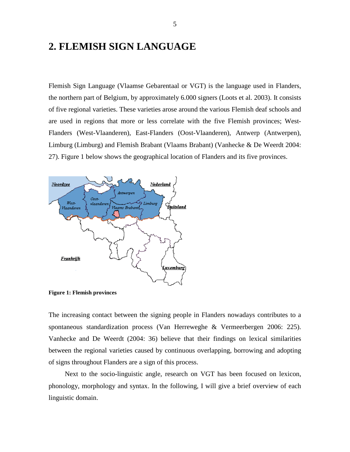## **2. FLEMISH SIGN LANGUAGE**

Flemish Sign Language (Vlaamse Gebarentaal or VGT) is the language used in Flanders, the northern part of Belgium, by approximately 6.000 signers (Loots et al. 2003). It consists of five regional varieties. These varieties arose around the various Flemish deaf schools and are used in regions that more or less correlate with the five Flemish provinces; West-Flanders (West-Vlaanderen), East-Flanders (Oost-Vlaanderen), Antwerp (Antwerpen), Limburg (Limburg) and Flemish Brabant (Vlaams Brabant) (Vanhecke & De Weerdt 2004: 27). Figure 1 below shows the geographical location of Flanders and its five provinces.



**Figure 1: Flemish provinces** 

The increasing contact between the signing people in Flanders nowadays contributes to a spontaneous standardization process (Van Herreweghe & Vermeerbergen 2006: 225). Vanhecke and De Weerdt (2004: 36) believe that their findings on lexical similarities between the regional varieties caused by continuous overlapping, borrowing and adopting of signs throughout Flanders are a sign of this process.

Next to the socio-linguistic angle, research on VGT has been focused on lexicon, phonology, morphology and syntax. In the following, I will give a brief overview of each linguistic domain.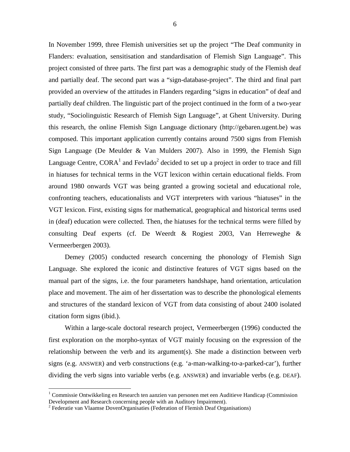In November 1999, three Flemish universities set up the project "The Deaf community in Flanders: evaluation, sensitisation and standardisation of Flemish Sign Language". This project consisted of three parts. The first part was a demographic study of the Flemish deaf and partially deaf. The second part was a "sign-database-project". The third and final part provided an overview of the attitudes in Flanders regarding "signs in education" of deaf and partially deaf children. The linguistic part of the project continued in the form of a two-year study, "Sociolinguistic Research of Flemish Sign Language", at Ghent University. During this research, the online Flemish Sign Language dictionary (http://gebaren.ugent.be) was composed. This important application currently contains around 7500 signs from Flemish Sign Language (De Meulder & Van Mulders 2007). Also in 1999, the Flemish Sign Language Centre, CORA<sup>1</sup> and Fevlado<sup>2</sup> decided to set up a project in order to trace and fill in hiatuses for technical terms in the VGT lexicon within certain educational fields. From around 1980 onwards VGT was being granted a growing societal and educational role, confronting teachers, educationalists and VGT interpreters with various "hiatuses" in the VGT lexicon. First, existing signs for mathematical, geographical and historical terms used in (deaf) education were collected. Then, the hiatuses for the technical terms were filled by consulting Deaf experts (cf. De Weerdt & Rogiest 2003, Van Herreweghe & Vermeerbergen 2003).

Demey (2005) conducted research concerning the phonology of Flemish Sign Language. She explored the iconic and distinctive features of VGT signs based on the manual part of the signs, i.e. the four parameters handshape, hand orientation, articulation place and movement. The aim of her dissertation was to describe the phonological elements and structures of the standard lexicon of VGT from data consisting of about 2400 isolated citation form signs (ibid.).

Within a large-scale doctoral research project, Vermeerbergen (1996) conducted the first exploration on the morpho-syntax of VGT mainly focusing on the expression of the relationship between the verb and its argument(s). She made a distinction between verb signs (e.g. ANSWER) and verb constructions (e.g. 'a-man-walking-to-a-parked-car'), further dividing the verb signs into variable verbs (e.g. ANSWER) and invariable verbs (e.g. DEAF).

 $\overline{a}$ 

<sup>&</sup>lt;sup>1</sup> Commissie Ontwikkeling en Research ten aanzien van personen met een Auditieve Handicap (Commission Development and Research concerning people with an Auditory Impairment).

<sup>&</sup>lt;sup>2</sup> Federatie van Vlaamse DovenOrganisaties (Federation of Flemish Deaf Organisations)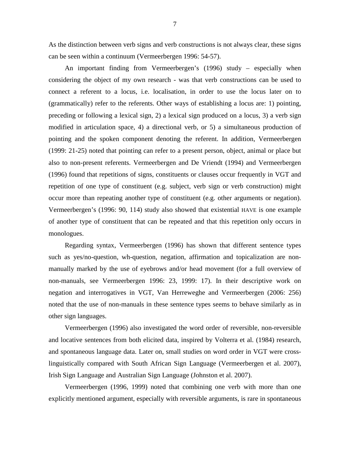As the distinction between verb signs and verb constructions is not always clear, these signs can be seen within a continuum (Vermeerbergen 1996: 54-57).

An important finding from Vermeerbergen's (1996) study – especially when considering the object of my own research - was that verb constructions can be used to connect a referent to a locus, i.e. localisation, in order to use the locus later on to (grammatically) refer to the referents. Other ways of establishing a locus are: 1) pointing, preceding or following a lexical sign, 2) a lexical sign produced on a locus, 3) a verb sign modified in articulation space, 4) a directional verb, or 5) a simultaneous production of pointing and the spoken component denoting the referent. In addition, Vermeerbergen (1999: 21-25) noted that pointing can refer to a present person, object, animal or place but also to non-present referents. Vermeerbergen and De Vriendt (1994) and Vermeerbergen (1996) found that repetitions of signs, constituents or clauses occur frequently in VGT and repetition of one type of constituent (e.g. subject, verb sign or verb construction) might occur more than repeating another type of constituent (e.g. other arguments or negation). Vermeerbergen's (1996: 90, 114) study also showed that existential HAVE is one example of another type of constituent that can be repeated and that this repetition only occurs in monologues.

Regarding syntax, Vermeerbergen (1996) has shown that different sentence types such as yes/no-question, wh-question, negation, affirmation and topicalization are nonmanually marked by the use of eyebrows and/or head movement (for a full overview of non-manuals, see Vermeerbergen 1996: 23, 1999: 17). In their descriptive work on negation and interrogatives in VGT, Van Herreweghe and Vermeerbergen (2006: 256) noted that the use of non-manuals in these sentence types seems to behave similarly as in other sign languages.

Vermeerbergen (1996) also investigated the word order of reversible, non-reversible and locative sentences from both elicited data, inspired by Volterra et al. (1984) research, and spontaneous language data. Later on, small studies on word order in VGT were crosslinguistically compared with South African Sign Language (Vermeerbergen et al. 2007), Irish Sign Language and Australian Sign Language (Johnston et al. 2007).

Vermeerbergen (1996, 1999) noted that combining one verb with more than one explicitly mentioned argument, especially with reversible arguments, is rare in spontaneous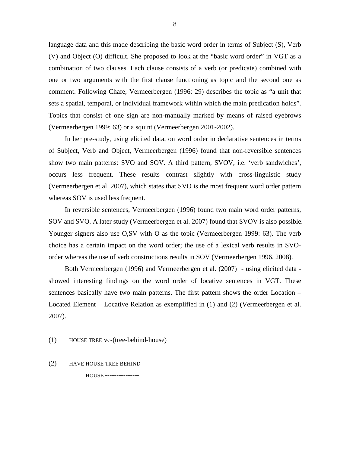language data and this made describing the basic word order in terms of Subject (S), Verb (V) and Object (O) difficult. She proposed to look at the "basic word order" in VGT as a combination of two clauses. Each clause consists of a verb (or predicate) combined with one or two arguments with the first clause functioning as topic and the second one as comment. Following Chafe, Vermeerbergen (1996: 29) describes the topic as "a unit that sets a spatial, temporal, or individual framework within which the main predication holds". Topics that consist of one sign are non-manually marked by means of raised eyebrows (Vermeerbergen 1999: 63) or a squint (Vermeerbergen 2001-2002).

In her pre-study, using elicited data, on word order in declarative sentences in terms of Subject, Verb and Object, Vermeerbergen (1996) found that non-reversible sentences show two main patterns: SVO and SOV. A third pattern, SVOV, i.e. 'verb sandwiches', occurs less frequent. These results contrast slightly with cross-linguistic study (Vermeerbergen et al. 2007), which states that SVO is the most frequent word order pattern whereas SOV is used less frequent.

In reversible sentences, Vermeerbergen (1996) found two main word order patterns, SOV and SVO. A later study (Vermeerbergen et al. 2007) found that SVOV is also possible. Younger signers also use O,SV with O as the topic (Vermeerbergen 1999: 63). The verb choice has a certain impact on the word order; the use of a lexical verb results in SVOorder whereas the use of verb constructions results in SOV (Vermeerbergen 1996, 2008).

Both Vermeerbergen (1996) and Vermeerbergen et al. (2007) - using elicited data showed interesting findings on the word order of locative sentences in VGT. These sentences basically have two main patterns. The first pattern shows the order Location – Located Element – Locative Relation as exemplified in (1) and (2) (Vermeerbergen et al. 2007).

- (1) HOUSE TREE vc-(tree-behind-house)
- (2) HAVE HOUSE TREE BEHIND

HOUSE ---------------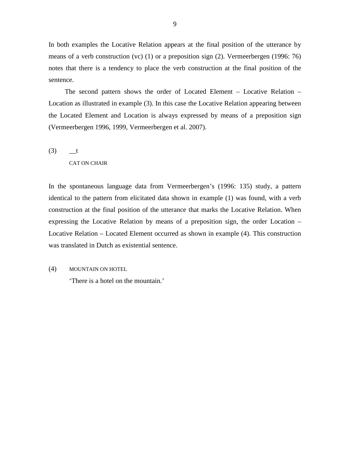In both examples the Locative Relation appears at the final position of the utterance by means of a verb construction (vc) (1) or a preposition sign (2). Vermeerbergen (1996: 76) notes that there is a tendency to place the verb construction at the final position of the sentence.

The second pattern shows the order of Located Element – Locative Relation – Location as illustrated in example (3). In this case the Locative Relation appearing between the Located Element and Location is always expressed by means of a preposition sign (Vermeerbergen 1996, 1999, Vermeerbergen et al. 2007).

 $(3)$   $t$ 

CAT ON CHAIR

In the spontaneous language data from Vermeerbergen's (1996: 135) study, a pattern identical to the pattern from elicitated data shown in example (1) was found, with a verb construction at the final position of the utterance that marks the Locative Relation. When expressing the Locative Relation by means of a preposition sign, the order Location – Locative Relation – Located Element occurred as shown in example (4). This construction was translated in Dutch as existential sentence.

(4) MOUNTAIN ON HOTEL

'There is a hotel on the mountain.'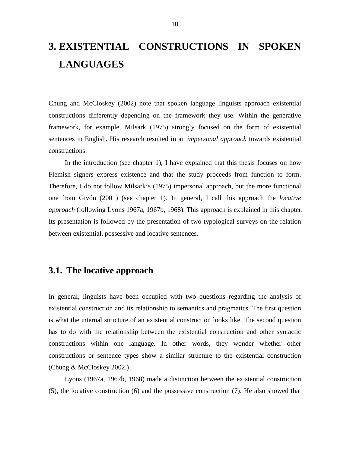# **3. EXISTENTIAL CONSTRUCTIONS IN SPOKEN LANGUAGES**

Chung and McCloskey (2002) note that spoken language linguists approach existential constructions differently depending on the framework they use. Within the generative framework, for example, Milsark (1975) strongly focused on the form of existential sentences in English. His research resulted in an *impersonal approach* towards existential constructions.

In the introduction (see chapter 1), I have explained that this thesis focuses on how Flemish signers express existence and that the study proceeds from function to form. Therefore, I do not follow Milsark's (1975) impersonal approach, but the more functional one from Givón (2001) (see chapter 1). In general, I call this approach the *locative approach* (following Lyons 1967a, 1967b, 1968). This approach is explained in this chapter. Its presentation is followed by the presentation of two typological surveys on the relation between existential, possessive and locative sentences.

## **3.1. The locative approach**

In general, linguists have been occupied with two questions regarding the analysis of existential construction and its relationship to semantics and pragmatics. The first question is what the internal structure of an existential construction looks like. The second question has to do with the relationship between the existential construction and other syntactic constructions within one language. In other words, they wonder whether other constructions or sentence types show a similar structure to the existential construction (Chung & McCloskey 2002.)

Lyons (1967a, 1967b, 1968) made a distinction between the existential construction (5), the locative construction (6) and the possessive construction (7). He also showed that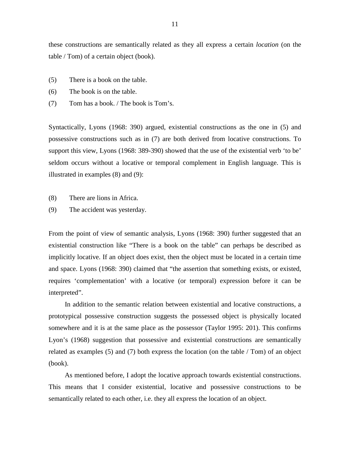these constructions are semantically related as they all express a certain *location* (on the table / Tom) of a certain object (book).

- (5) There is a book on the table.
- (6) The book is on the table.
- (7) Tom has a book. / The book is Tom's.

Syntactically, Lyons (1968: 390) argued, existential constructions as the one in (5) and possessive constructions such as in (7) are both derived from locative constructions. To support this view, Lyons (1968: 389-390) showed that the use of the existential verb 'to be' seldom occurs without a locative or temporal complement in English language. This is illustrated in examples (8) and (9):

- (8) There are lions in Africa.
- (9) The accident was yesterday.

From the point of view of semantic analysis, Lyons (1968: 390) further suggested that an existential construction like "There is a book on the table" can perhaps be described as implicitly locative. If an object does exist, then the object must be located in a certain time and space. Lyons (1968: 390) claimed that "the assertion that something exists, or existed, requires 'complementation' with a locative (or temporal) expression before it can be interpreted".

In addition to the semantic relation between existential and locative constructions, a prototypical possessive construction suggests the possessed object is physically located somewhere and it is at the same place as the possessor (Taylor 1995: 201). This confirms Lyon's (1968) suggestion that possessive and existential constructions are semantically related as examples (5) and (7) both express the location (on the table / Tom) of an object (book).

As mentioned before, I adopt the locative approach towards existential constructions. This means that I consider existential, locative and possessive constructions to be semantically related to each other, i.e. they all express the location of an object.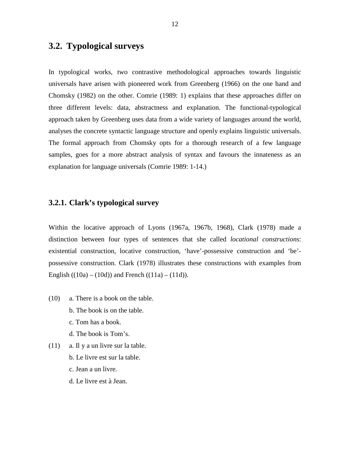## **3.2. Typological surveys**

In typological works, two contrastive methodological approaches towards linguistic universals have arisen with pioneered work from Greenberg (1966) on the one hand and Chomsky (1982) on the other. Comrie (1989: 1) explains that these approaches differ on three different levels: data, abstractness and explanation. The functional-typological approach taken by Greenberg uses data from a wide variety of languages around the world, analyses the concrete syntactic language structure and openly explains linguistic universals. The formal approach from Chomsky opts for a thorough research of a few language samples, goes for a more abstract analysis of syntax and favours the innateness as an explanation for language universals (Comrie 1989: 1-14.)

#### **3.2.1. Clark's typological survey**

Within the locative approach of Lyons (1967a, 1967b, 1968), Clark (1978) made a distinction between four types of sentences that she called *locational constructions*: existential construction, locative construction, 'have'-possessive construction and 'be' possessive construction. Clark (1978) illustrates these constructions with examples from English  $((10a) - (10d))$  and French  $((11a) - (11d))$ .

- (10) a. There is a book on the table.
	- b. The book is on the table.
	- c. Tom has a book.
	- d. The book is Tom's.
- (11) a. Il y a un livre sur la table.
	- b. Le livre est sur la table.
	- c. Jean a un livre.
	- d. Le livre est à Jean.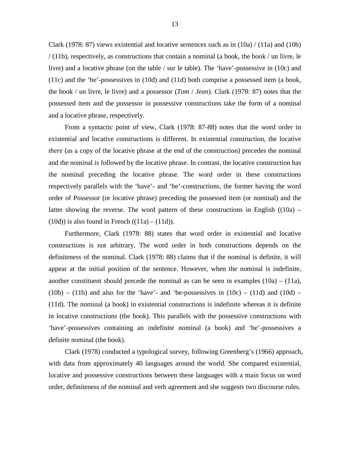Clark (1978: 87) views existential and locative sentences such as in  $(10a) / (11a)$  and  $(10b)$ / (11b), respectively, as constructions that contain a nominal (a book, the book / un livre, le livre) and a locative phrase (on the table / sur le table). The 'have'-possessive in (10c) and (11c) and the 'be'-possessives in (10d) and (11d) both comprise a possessed item (a book, the book / un livre, le livre) and a possessor (*Tom* / *Jean*). Clark (1978: 87) notes that the possessed item and the possessor in possessive constructions take the form of a nominal and a locative phrase, respectively.

From a syntactic point of view, Clark (1978: 87-88) notes that the word order in existential and locative constructions is different. In existential construction, the locative *there* (as a copy of the locative phrase at the end of the construction) precedes the nominal and the nominal is followed by the locative phrase. In contrast, the locative construction has the nominal preceding the locative phrase. The word order in these constructions respectively parallels with the 'have'- and 'be'-constructions, the former having the word order of Possessor (or locative phrase) preceding the possessed item (or nominal) and the latter showing the reverse. The word pattern of these constructions in English  $((10a) (10d)$ ) is also found in French  $((11a) - (11d))$ .

Furthermore, Clark (1978: 88) states that word order in existential and locative constructions is not arbitrary. The word order in both constructions depends on the definiteness of the nominal. Clark (1978: 88) claims that if the nominal is definite, it will appear at the initial position of the sentence. However, when the nominal is indefinite, another constituent should precede the nominal as can be seen in examples  $(10a) - (11a)$ ,  $(10b) - (11b)$  and also for the 'have'- and 'be-possessives in  $(10c) - (11d)$  and  $(10d)$  – (11d). The nominal (a book) in existential constructions is indefinite whereas it is definite in locative constructions (the book). This parallels with the possessive constructions with 'have'-possessives containing an indefinite nominal (a book) and 'be'-possessives a definite nominal (the book).

Clark (1978) conducted a typological survey, following Greenberg's (1966) approach, with data from approximately 40 languages around the world. She compared existential, locative and possessive constructions between these languages with a main focus on word order, definiteness of the nominal and verb agreement and she suggests two discourse rules.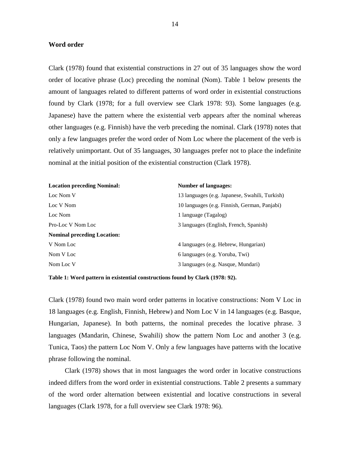#### **Word order**

Clark (1978) found that existential constructions in 27 out of 35 languages show the word order of locative phrase (Loc) preceding the nominal (Nom). Table 1 below presents the amount of languages related to different patterns of word order in existential constructions found by Clark (1978; for a full overview see Clark 1978: 93). Some languages (e.g. Japanese) have the pattern where the existential verb appears after the nominal whereas other languages (e.g. Finnish) have the verb preceding the nominal. Clark (1978) notes that only a few languages prefer the word order of Nom Loc where the placement of the verb is relatively unimportant. Out of 35 languages, 30 languages prefer not to place the indefinite nominal at the initial position of the existential construction (Clark 1978).

| <b>Location preceding Nominal:</b> | <b>Number of languages:</b>                    |
|------------------------------------|------------------------------------------------|
| Loc Nom V                          | 13 languages (e.g. Japanese, Swahili, Turkish) |
| Loc V Nom                          | 10 languages (e.g. Finnish, German, Panjabi)   |
| Loc Nom                            | 1 language (Tagalog)                           |
| Pro-Loc V Nom Loc                  | 3 languages (English, French, Spanish)         |
| <b>Nominal preceding Location:</b> |                                                |
| V Nom Loc                          | 4 languages (e.g. Hebrew, Hungarian)           |
| Nom V Loc                          | 6 languages (e.g. Yoruba, Twi)                 |
| Nom Loc V                          | 3 languages (e.g. Nasque, Mundari)             |
|                                    |                                                |

**Table 1: Word pattern in existential constructions found by Clark (1978: 92).** 

Clark (1978) found two main word order patterns in locative constructions: Nom V Loc in 18 languages (e.g. English, Finnish, Hebrew) and Nom Loc V in 14 languages (e.g. Basque, Hungarian, Japanese). In both patterns, the nominal precedes the locative phrase. 3 languages (Mandarin, Chinese, Swahili) show the pattern Nom Loc and another 3 (e.g. Tunica, Taos) the pattern Loc Nom V. Only a few languages have patterns with the locative phrase following the nominal.

Clark (1978) shows that in most languages the word order in locative constructions indeed differs from the word order in existential constructions. Table 2 presents a summary of the word order alternation between existential and locative constructions in several languages (Clark 1978, for a full overview see Clark 1978: 96).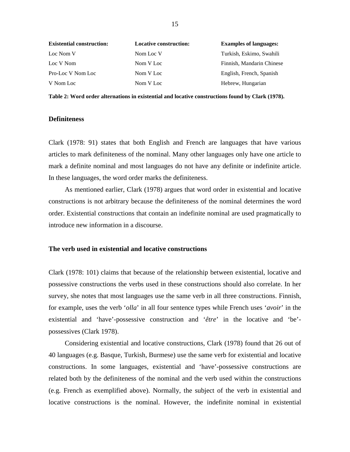| <b>Existential construction:</b> | <b>Locative construction:</b> | <b>Examples of languages:</b> |
|----------------------------------|-------------------------------|-------------------------------|
| Loc Nom V                        | Nom Loc V                     | Turkish, Eskimo, Swahili      |
| Loc V Nom                        | Nom V Loc                     | Finnish, Mandarin Chinese     |
| Pro-Loc V Nom Loc                | Nom V Loc                     | English, French, Spanish      |
| V Nom Loc                        | Nom V Loc                     | Hebrew, Hungarian             |

**Table 2: Word order alternations in existential and locative constructions found by Clark (1978).** 

#### **Definiteness**

Clark (1978: 91) states that both English and French are languages that have various articles to mark definiteness of the nominal. Many other languages only have one article to mark a definite nominal and most languages do not have any definite or indefinite article. In these languages, the word order marks the definiteness.

As mentioned earlier, Clark (1978) argues that word order in existential and locative constructions is not arbitrary because the definiteness of the nominal determines the word order. Existential constructions that contain an indefinite nominal are used pragmatically to introduce new information in a discourse.

#### **The verb used in existential and locative constructions**

Clark (1978: 101) claims that because of the relationship between existential, locative and possessive constructions the verbs used in these constructions should also correlate. In her survey, she notes that most languages use the same verb in all three constructions. Finnish, for example, uses the verb '*olla*' in all four sentence types while French uses '*avoir*' in the existential and 'have'-possessive construction and '*être*' in the locative and 'be' possessives (Clark 1978).

Considering existential and locative constructions, Clark (1978) found that 26 out of 40 languages (e.g. Basque, Turkish, Burmese) use the same verb for existential and locative constructions. In some languages, existential and 'have'-possessive constructions are related both by the definiteness of the nominal and the verb used within the constructions (e.g. French as exemplified above). Normally, the subject of the verb in existential and locative constructions is the nominal. However, the indefinite nominal in existential

15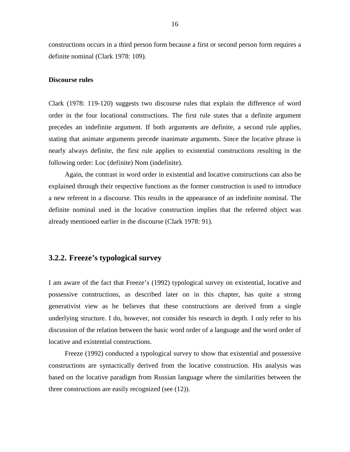constructions occurs in a third person form because a first or second person form requires a definite nominal (Clark 1978: 109).

#### **Discourse rules**

Clark (1978: 119-120) suggests two discourse rules that explain the difference of word order in the four locational constructions. The first rule states that a definite argument precedes an indefinite argument. If both arguments are definite, a second rule applies, stating that animate arguments precede inanimate arguments. Since the locative phrase is nearly always definite, the first rule applies to existential constructions resulting in the following order: Loc (definite) Nom (indefinite).

Again, the contrast in word order in existential and locative constructions can also be explained through their respective functions as the former construction is used to introduce a new referent in a discourse. This results in the appearance of an indefinite nominal. The definite nominal used in the locative construction implies that the referred object was already mentioned earlier in the discourse (Clark 1978: 91).

#### **3.2.2. Freeze's typological survey**

I am aware of the fact that Freeze's (1992) typological survey on existential, locative and possessive constructions, as described later on in this chapter, has quite a strong generativist view as he believes that these constructions are derived from a single underlying structure. I do, however, not consider his research in depth. I only refer to his discussion of the relation between the basic word order of a language and the word order of locative and existential constructions.

Freeze (1992) conducted a typological survey to show that existential and possessive constructions are syntactically derived from the locative construction. His analysis was based on the locative paradigm from Russian language where the similarities between the three constructions are easily recognized (see (12)).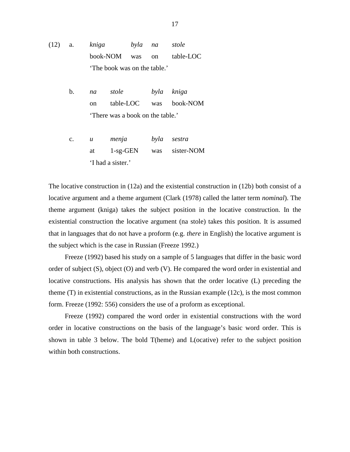(12) a. *kniga byla na stole* book-NOM was on table-LOC 'The book was on the table.'

> b. *na stole byla kniga*  on table-LOC was book-NOM 'There was a book on the table.'

> c. *u menja byla sestra* at 1-sg-GEN was sister-NOM 'I had a sister.'

The locative construction in (12a) and the existential construction in (12b) both consist of a locative argument and a theme argument (Clark (1978) called the latter term *nominal*). The theme argument (kniga) takes the subject position in the locative construction. In the existential construction the locative argument (na stole) takes this position. It is assumed that in languages that do not have a proform (e.g. *there* in English) the locative argument is the subject which is the case in Russian (Freeze 1992.)

Freeze (1992) based his study on a sample of 5 languages that differ in the basic word order of subject (S), object (O) and verb (V). He compared the word order in existential and locative constructions. His analysis has shown that the order locative (L) preceding the theme (T) in existential constructions, as in the Russian example (12c), is the most common form. Freeze (1992: 556) considers the use of a proform as exceptional.

Freeze (1992) compared the word order in existential constructions with the word order in locative constructions on the basis of the language's basic word order. This is shown in table 3 below. The bold T(heme) and L(ocative) refer to the subject position within both constructions.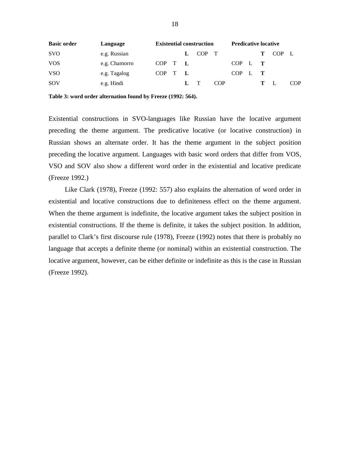| <b>Basic order</b> | Language      |               |   | <b>Existential construction</b> |     | <b>Predicative locative</b> |  |       |     |
|--------------------|---------------|---------------|---|---------------------------------|-----|-----------------------------|--|-------|-----|
| <b>SVO</b>         | e.g. Russian  |               |   | COP T                           |     |                             |  | COP L |     |
| <b>VOS</b>         | e.g. Chamorro | $COP$ $T$ $L$ |   |                                 |     | COP L T                     |  |       |     |
| <b>VSO</b>         | e.g. Tagalog  | COP T L       |   |                                 |     | $COP$ $L$ $T$               |  |       |     |
| SOV                | e.g. Hindi    |               | L |                                 | COP |                             |  |       | COP |

**Table 3: word order alternation found by Freeze (1992: 564).** 

Existential constructions in SVO-languages like Russian have the locative argument preceding the theme argument. The predicative locative (or locative construction) in Russian shows an alternate order. It has the theme argument in the subject position preceding the locative argument. Languages with basic word orders that differ from VOS, VSO and SOV also show a different word order in the existential and locative predicate (Freeze 1992.)

Like Clark (1978), Freeze (1992: 557) also explains the alternation of word order in existential and locative constructions due to definiteness effect on the theme argument. When the theme argument is indefinite, the locative argument takes the subject position in existential constructions. If the theme is definite, it takes the subject position. In addition, parallel to Clark's first discourse rule (1978), Freeze (1992) notes that there is probably no language that accepts a definite theme (or nominal) within an existential construction. The locative argument, however, can be either definite or indefinite as this is the case in Russian (Freeze 1992).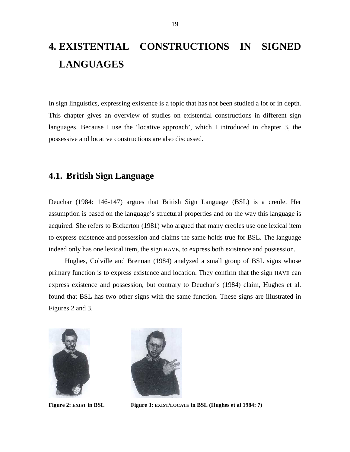# **4. EXISTENTIAL CONSTRUCTIONS IN SIGNED LANGUAGES**

In sign linguistics, expressing existence is a topic that has not been studied a lot or in depth. This chapter gives an overview of studies on existential constructions in different sign languages. Because I use the 'locative approach', which I introduced in chapter 3, the possessive and locative constructions are also discussed.

### **4.1. British Sign Language**

Deuchar (1984: 146-147) argues that British Sign Language (BSL) is a creole. Her assumption is based on the language's structural properties and on the way this language is acquired. She refers to Bickerton (1981) who argued that many creoles use one lexical item to express existence and possession and claims the same holds true for BSL. The language indeed only has one lexical item, the sign HAVE, to express both existence and possession.

Hughes, Colville and Brennan (1984) analyzed a small group of BSL signs whose primary function is to express existence and location. They confirm that the sign HAVE can express existence and possession, but contrary to Deuchar's (1984) claim, Hughes et al. found that BSL has two other signs with the same function. These signs are illustrated in Figures 2 and 3.





**Figure 2: EXIST in BSL** Figure 3: **EXIST**/**LOCATE** in BSL (Hughes et al 1984: 7)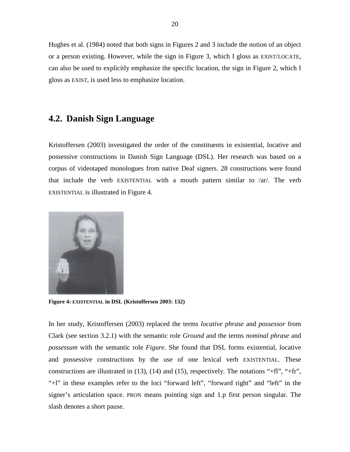Hughes et al. (1984) noted that both signs in Figures 2 and 3 include the notion of an object or a person existing. However, while the sign in Figure 3, which I gloss as EXIST/LOCATE, can also be used to explicitly emphasize the specific location, the sign in Figure 2, which I gloss as EXIST, is used less to emphasize location.

## **4.2. Danish Sign Language**

Kristoffersen (2003) investigated the order of the constituents in existential, locative and possessive constructions in Danish Sign Language (DSL). Her research was based on a corpus of videotaped monologues from native Deaf signers. 28 constructions were found that include the verb EXISTENTIAL with a mouth pattern similar to /ar/. The verb EXISTENTIAL is illustrated in Figure 4.



**Figure 4: EXISTENTIAL in DSL (Kristoffersen 2003: 132)** 

In her study, Kristoffersen (2003) replaced the terms *locative phrase* and *possessor* from Clark (see section 3.2.1) with the semantic role *Ground* and the terms *nominal phrase* and *possessum* with the semantic role *Figure*. She found that DSL forms existential, locative and possessive constructions by the use of one lexical verb EXISTENTIAL. These constructions are illustrated in (13), (14) and (15), respectively. The notations "+fl", "+fr", "+l" in these examples refer to the loci "forward left", "forward right" and "left" in the signer's articulation space. PRON means pointing sign and 1.p first person singular. The slash denotes a short pause.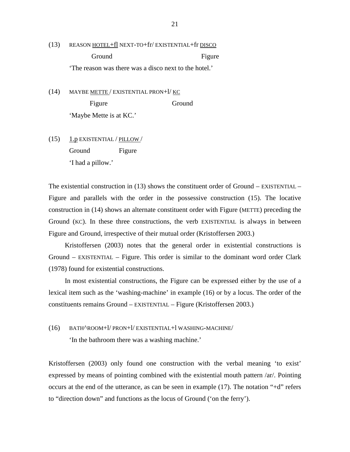(13) REASON HOTEL+fl NEXT-TO+fr/ EXISTENTIAL+fr DISCO Ground Figure 'The reason was there was a disco next to the hotel.'

(14) MAYBE METTE / EXISTENTIAL PRON+ $1/$  KC Figure Ground 'Maybe Mette is at KC.'

 $(15)$  1.p EXISTENTIAL / PILLOW / Ground Figure 'I had a pillow.'

The existential construction in  $(13)$  shows the constituent order of Ground – EXISTENTIAL – Figure and parallels with the order in the possessive construction (15). The locative construction in (14) shows an alternate constituent order with Figure (METTE) preceding the Ground (KC). In these three constructions, the verb EXISTENTIAL is always in between Figure and Ground, irrespective of their mutual order (Kristoffersen 2003.)

Kristoffersen (2003) notes that the general order in existential constructions is Ground – EXISTENTIAL – Figure. This order is similar to the dominant word order Clark (1978) found for existential constructions.

In most existential constructions, the Figure can be expressed either by the use of a lexical item such as the 'washing-machine' in example (16) or by a locus. The order of the constituents remains Ground – EXISTENTIAL – Figure (Kristoffersen 2003.)

# (16) BATH^ROOM+l/ PRON+l/ EXISTENTIAL+l WASHING-MACHINE/

'In the bathroom there was a washing machine.'

Kristoffersen (2003) only found one construction with the verbal meaning 'to exist' expressed by means of pointing combined with the existential mouth pattern /ar/. Pointing occurs at the end of the utterance, as can be seen in example (17). The notation "+d" refers to "direction down" and functions as the locus of Ground ('on the ferry').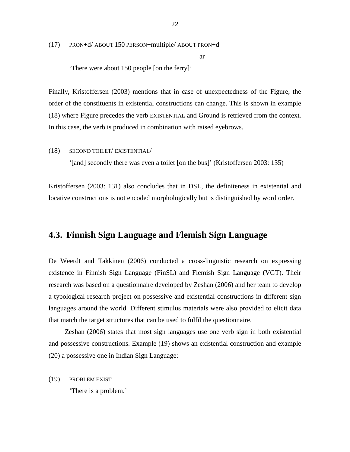(17) PRON+d/ ABOUT 150 PERSON+multiple/ ABOUT PRON+d

ar

'There were about 150 people [on the ferry]'

Finally, Kristoffersen (2003) mentions that in case of unexpectedness of the Figure, the order of the constituents in existential constructions can change. This is shown in example (18) where Figure precedes the verb EXISTENTIAL and Ground is retrieved from the context. In this case, the verb is produced in combination with raised eyebrows.

(18) SECOND TOILET/ EXISTENTIAL/

'[and] secondly there was even a toilet [on the bus]' (Kristoffersen 2003: 135)

Kristoffersen (2003: 131) also concludes that in DSL, the definiteness in existential and locative constructions is not encoded morphologically but is distinguished by word order.

## **4.3. Finnish Sign Language and Flemish Sign Language**

De Weerdt and Takkinen (2006) conducted a cross-linguistic research on expressing existence in Finnish Sign Language (FinSL) and Flemish Sign Language (VGT). Their research was based on a questionnaire developed by Zeshan (2006) and her team to develop a typological research project on possessive and existential constructions in different sign languages around the world. Different stimulus materials were also provided to elicit data that match the target structures that can be used to fulfil the questionnaire.

Zeshan (2006) states that most sign languages use one verb sign in both existential and possessive constructions. Example (19) shows an existential construction and example (20) a possessive one in Indian Sign Language:

(19) PROBLEM EXIST

'There is a problem.'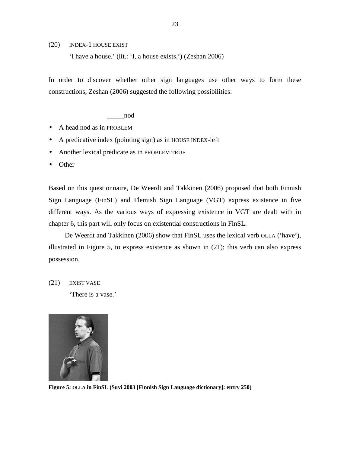(20) INDEX-1 HOUSE EXIST

'I have a house.' (lit.: 'I, a house exists.') (Zeshan 2006)

In order to discover whether other sign languages use other ways to form these constructions, Zeshan (2006) suggested the following possibilities:

\_\_\_\_\_nod

- A head nod as in PROBLEM
- A predicative index (pointing sign) as in HOUSE INDEX-left
- Another lexical predicate as in PROBLEM TRUE
- Other

Based on this questionnaire, De Weerdt and Takkinen (2006) proposed that both Finnish Sign Language (FinSL) and Flemish Sign Language (VGT) express existence in five different ways. As the various ways of expressing existence in VGT are dealt with in chapter 6, this part will only focus on existential constructions in FinSL.

De Weerdt and Takkinen (2006) show that FinSL uses the lexical verb OLLA ('have'), illustrated in Figure 5, to express existence as shown in (21); this verb can also express possession.

(21) EXIST VASE

'There is a vase.'



**Figure 5: OLLA in FinSL (Suvi 2003 [Finnish Sign Language dictionary]: entry 250)**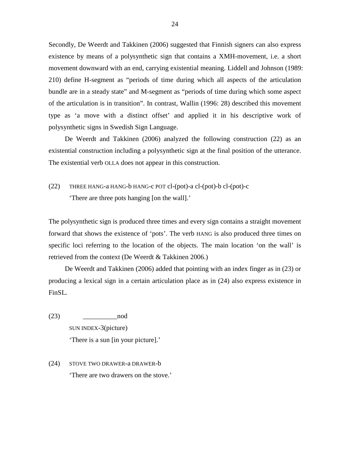Secondly, De Weerdt and Takkinen (2006) suggested that Finnish signers can also express existence by means of a polysynthetic sign that contains a XMH-movement, i.e. a short movement downward with an end, carrying existential meaning. Liddell and Johnson (1989: 210) define H-segment as "periods of time during which all aspects of the articulation bundle are in a steady state" and M-segment as "periods of time during which some aspect of the articulation is in transition". In contrast, Wallin (1996: 28) described this movement type as 'a move with a distinct offset' and applied it in his descriptive work of polysynthetic signs in Swedish Sign Language.

De Weerdt and Takkinen (2006) analyzed the following construction (22) as an existential construction including a polysynthetic sign at the final position of the utterance. The existential verb OLLA does not appear in this construction.

(22) THREE HANG-a HANG-b HANG-c POT cl-(pot)-a cl-(pot)-b cl-(pot)-c 'There are three pots hanging [on the wall].'

The polysynthetic sign is produced three times and every sign contains a straight movement forward that shows the existence of 'pots'. The verb HANG is also produced three times on specific loci referring to the location of the objects. The main location 'on the wall' is retrieved from the context (De Weerdt & Takkinen 2006.)

De Weerdt and Takkinen (2006) added that pointing with an index finger as in (23) or producing a lexical sign in a certain articulation place as in (24) also express existence in FinSL.

- $(23)$  nod SUN INDEX-3(picture) 'There is a sun [in your picture].'
- (24) STOVE TWO DRAWER-a DRAWER-b 'There are two drawers on the stove.'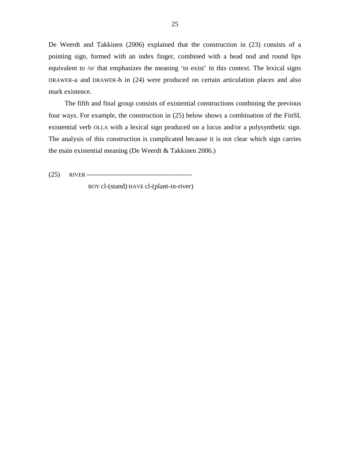De Weerdt and Takkinen (2006) explained that the construction in (23) consists of a pointing sign, formed with an index finger, combined with a head nod and round lips equivalent to /o/ that emphasizes the meaning 'to exist' in this context. The lexical signs DRAWER-a and DRAWER-b in (24) were produced on certain articulation places and also mark existence.

The fifth and final group consists of existential constructions combining the previous four ways. For example, the construction in (25) below shows a combination of the FinSL existential verb OLLA with a lexical sign produced on a locus and/or a polysynthetic sign. The analysis of this construction is complicated because it is not clear which sign carries the main existential meaning (De Weerdt & Takkinen 2006.)

(25) RIVER ----------------------------------------------

BOY cl-(stand) HAVE cl-(plant-in-river)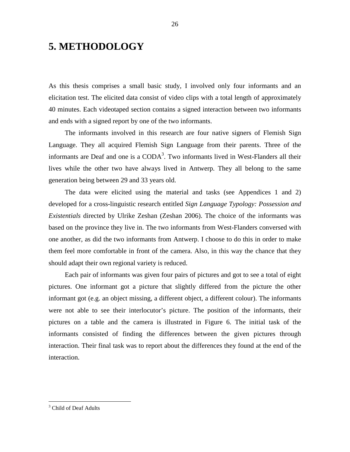# **5. METHODOLOGY**

As this thesis comprises a small basic study, I involved only four informants and an elicitation test. The elicited data consist of video clips with a total length of approximately 40 minutes. Each videotaped section contains a signed interaction between two informants and ends with a signed report by one of the two informants.

The informants involved in this research are four native signers of Flemish Sign Language. They all acquired Flemish Sign Language from their parents. Three of the informants are Deaf and one is a  $\text{CODA}^3$ . Two informants lived in West-Flanders all their lives while the other two have always lived in Antwerp. They all belong to the same generation being between 29 and 33 years old.

The data were elicited using the material and tasks (see Appendices 1 and 2) developed for a cross-linguistic research entitled *Sign Language Typology: Possession and Existentials* directed by Ulrike Zeshan (Zeshan 2006). The choice of the informants was based on the province they live in. The two informants from West-Flanders conversed with one another, as did the two informants from Antwerp. I choose to do this in order to make them feel more comfortable in front of the camera. Also, in this way the chance that they should adapt their own regional variety is reduced.

Each pair of informants was given four pairs of pictures and got to see a total of eight pictures. One informant got a picture that slightly differed from the picture the other informant got (e.g. an object missing, a different object, a different colour). The informants were not able to see their interlocutor's picture. The position of the informants, their pictures on a table and the camera is illustrated in Figure 6. The initial task of the informants consisted of finding the differences between the given pictures through interaction. Their final task was to report about the differences they found at the end of the interaction.

 $\overline{a}$ 

<sup>&</sup>lt;sup>3</sup> Child of Deaf Adults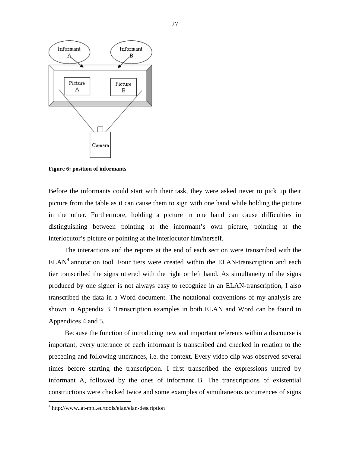

**Figure 6: position of informants** 

Before the informants could start with their task, they were asked never to pick up their picture from the table as it can cause them to sign with one hand while holding the picture in the other. Furthermore, holding a picture in one hand can cause difficulties in distinguishing between pointing at the informant's own picture, pointing at the interlocutor's picture or pointing at the interlocutor him/herself.

The interactions and the reports at the end of each section were transcribed with the  $ELAN<sup>4</sup>$  annotation tool. Four tiers were created within the ELAN-transcription and each tier transcribed the signs uttered with the right or left hand. As simultaneity of the signs produced by one signer is not always easy to recognize in an ELAN-transcription, I also transcribed the data in a Word document. The notational conventions of my analysis are shown in Appendix 3. Transcription examples in both ELAN and Word can be found in Appendices 4 and 5.

Because the function of introducing new and important referents within a discourse is important, every utterance of each informant is transcribed and checked in relation to the preceding and following utterances, i.e. the context. Every video clip was observed several times before starting the transcription. I first transcribed the expressions uttered by informant A, followed by the ones of informant B. The transcriptions of existential constructions were checked twice and some examples of simultaneous occurrences of signs

 $\overline{a}$ 

<sup>4</sup> http://www.lat-mpi.eu/tools/elan/elan-description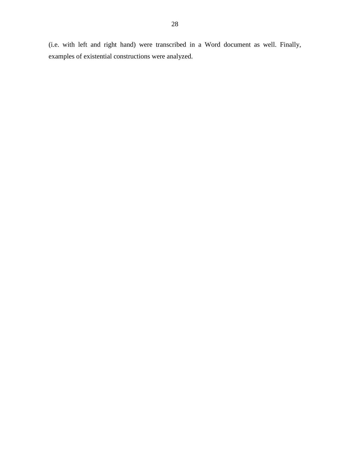(i.e. with left and right hand) were transcribed in a Word document as well. Finally, examples of existential constructions were analyzed.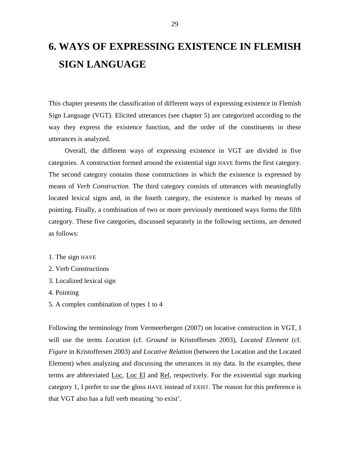# **6. WAYS OF EXPRESSING EXISTENCE IN FLEMISH SIGN LANGUAGE**

This chapter presents the classification of different ways of expressing existence in Flemish Sign Language (VGT). Elicited utterances (see chapter 5) are categorized according to the way they express the existence function, and the order of the constituents in these utterances is analyzed.

Overall, the different ways of expressing existence in VGT are divided in five categories. A construction formed around the existential sign HAVE forms the first category. The second category contains those constructions in which the existence is expressed by means of *Verb Construction*. The third category consists of utterances with meaningfully located lexical signs and, in the fourth category, the existence is marked by means of pointing. Finally, a combination of two or more previously mentioned ways forms the fifth category. These five categories, discussed separately in the following sections, are denoted as follows:

- 1. The sign HAVE
- 2. Verb Constructions
- 3. Localized lexical sign
- 4. Pointing
- 5. A complex combination of types 1 to 4

Following the terminology from Vermeerbergen (2007) on locative construction in VGT, I will use the terms *Location* (cf. *Ground* in Kristoffersen 2003), *Located Element* (cf. *Figure* in Kristoffersen 2003) and *Locative Relation* (between the Location and the Located Element) when analyzing and discussing the utterances in my data. In the examples, these terms are abbreviated Loc, Loc El and Rel, respectively. For the existential sign marking category 1, I prefer to use the gloss HAVE instead of EXIST. The reason for this preference is that VGT also has a full verb meaning 'to exist'.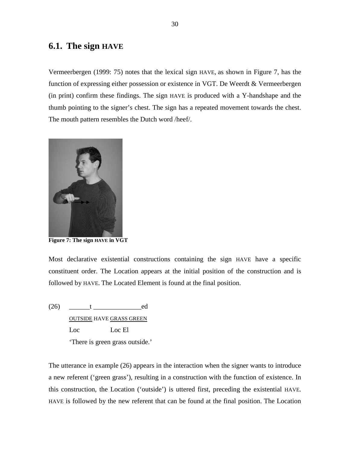## **6.1. The sign HAVE**

Vermeerbergen (1999: 75) notes that the lexical sign HAVE, as shown in Figure 7, has the function of expressing either possession or existence in VGT. De Weerdt & Vermeerbergen (in print) confirm these findings. The sign HAVE is produced with a Y-handshape and the thumb pointing to the signer's chest. The sign has a repeated movement towards the chest. The mouth pattern resembles the Dutch word /heef/.



**Figure 7: The sign HAVE in VGT** 

Most declarative existential constructions containing the sign HAVE have a specific constituent order. The Location appears at the initial position of the construction and is followed by HAVE. The Located Element is found at the final position.

 $(26)$   $t$  ed OUTSIDE HAVE GRASS GREEN Loc Loc El 'There is green grass outside.'

The utterance in example (26) appears in the interaction when the signer wants to introduce a new referent ('green grass'), resulting in a construction with the function of existence. In this construction, the Location ('outside') is uttered first, preceding the existential HAVE. HAVE is followed by the new referent that can be found at the final position. The Location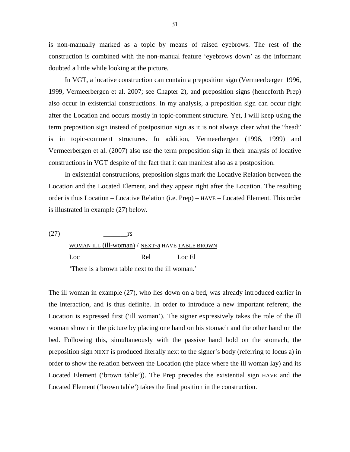is non-manually marked as a topic by means of raised eyebrows. The rest of the construction is combined with the non-manual feature 'eyebrows down' as the informant doubted a little while looking at the picture.

In VGT, a locative construction can contain a preposition sign (Vermeerbergen 1996, 1999, Vermeerbergen et al. 2007; see Chapter 2), and preposition signs (henceforth Prep) also occur in existential constructions. In my analysis, a preposition sign can occur right after the Location and occurs mostly in topic-comment structure. Yet, I will keep using the term preposition sign instead of postposition sign as it is not always clear what the "head" is in topic-comment structures. In addition, Vermeerbergen (1996, 1999) and Vermeerbergen et al. (2007) also use the term preposition sign in their analysis of locative constructions in VGT despite of the fact that it can manifest also as a postposition.

In existential constructions, preposition signs mark the Locative Relation between the Location and the Located Element, and they appear right after the Location. The resulting order is thus Location – Locative Relation (i.e. Prep) – HAVE – Located Element. This order is illustrated in example (27) below.

 $(27)$  rs WOMAN ILL (ill-woman) / NEXT-a HAVE TABLE BROWN Loc Rel Loc El 'There is a brown table next to the ill woman.'

The ill woman in example (27), who lies down on a bed, was already introduced earlier in the interaction, and is thus definite. In order to introduce a new important referent, the Location is expressed first ('ill woman'). The signer expressively takes the role of the ill woman shown in the picture by placing one hand on his stomach and the other hand on the bed. Following this, simultaneously with the passive hand hold on the stomach, the preposition sign NEXT is produced literally next to the signer's body (referring to locus a) in order to show the relation between the Location (the place where the ill woman lay) and its Located Element ('brown table')). The Prep precedes the existential sign HAVE and the Located Element ('brown table') takes the final position in the construction.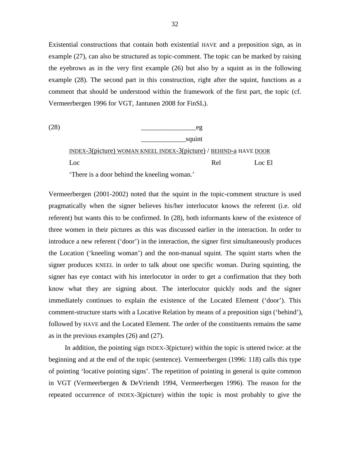Existential constructions that contain both existential HAVE and a preposition sign, as in example (27), can also be structured as topic-comment. The topic can be marked by raising the eyebrows as in the very first example (26) but also by a squint as in the following example (28). The second part in this construction, right after the squint, functions as a comment that should be understood within the framework of the first part, the topic (cf. Vermeerbergen 1996 for VGT, Jantunen 2008 for FinSL).



Vermeerbergen (2001-2002) noted that the squint in the topic-comment structure is used pragmatically when the signer believes his/her interlocutor knows the referent (i.e. old referent) but wants this to be confirmed. In (28), both informants knew of the existence of three women in their pictures as this was discussed earlier in the interaction. In order to introduce a new referent ('door') in the interaction, the signer first simultaneously produces the Location ('kneeling woman') and the non-manual squint. The squint starts when the signer produces KNEEL in order to talk about one specific woman. During squinting, the signer has eye contact with his interlocutor in order to get a confirmation that they both know what they are signing about. The interlocutor quickly nods and the signer immediately continues to explain the existence of the Located Element ('door'). This comment-structure starts with a Locative Relation by means of a preposition sign ('behind'), followed by HAVE and the Located Element. The order of the constituents remains the same as in the previous examples (26) and (27).

In addition, the pointing sign INDEX-3(picture) within the topic is uttered twice: at the beginning and at the end of the topic (sentence). Vermeerbergen (1996: 118) calls this type of pointing 'locative pointing signs'. The repetition of pointing in general is quite common in VGT (Vermeerbergen & DeVriendt 1994, Vermeerbergen 1996). The reason for the repeated occurrence of INDEX-3(picture) within the topic is most probably to give the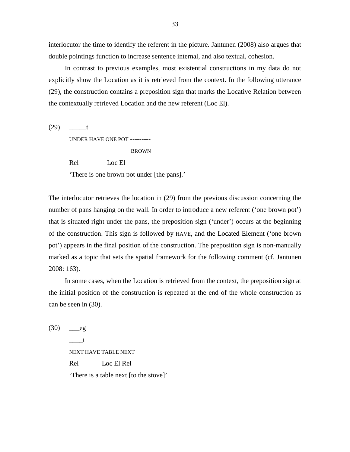interlocutor the time to identify the referent in the picture. Jantunen (2008) also argues that double pointings function to increase sentence internal, and also textual, cohesion.

In contrast to previous examples, most existential constructions in my data do not explicitly show the Location as it is retrieved from the context. In the following utterance (29), the construction contains a preposition sign that marks the Locative Relation between the contextually retrieved Location and the new referent (Loc El).

(29) \_\_\_\_\_t

UNDER HAVE ONE POT ---------

#### BROWN

Rel Loc El

'There is one brown pot under [the pans].'

The interlocutor retrieves the location in (29) from the previous discussion concerning the number of pans hanging on the wall. In order to introduce a new referent ('one brown pot') that is situated right under the pans, the preposition sign ('under') occurs at the beginning of the construction. This sign is followed by HAVE, and the Located Element ('one brown pot') appears in the final position of the construction. The preposition sign is non-manually marked as a topic that sets the spatial framework for the following comment (cf. Jantunen 2008: 163).

In some cases, when the Location is retrieved from the context, the preposition sign at the initial position of the construction is repeated at the end of the whole construction as can be seen in (30).

 $(30)$  eg  $-t$ NEXT HAVE TABLE NEXT Rel Loc El Rel 'There is a table next [to the stove]'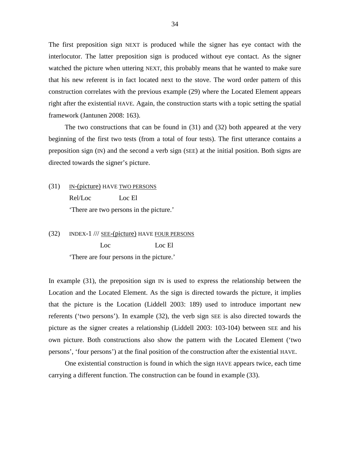The first preposition sign NEXT is produced while the signer has eye contact with the interlocutor. The latter preposition sign is produced without eye contact. As the signer watched the picture when uttering NEXT, this probably means that he wanted to make sure that his new referent is in fact located next to the stove. The word order pattern of this construction correlates with the previous example (29) where the Located Element appears right after the existential HAVE. Again, the construction starts with a topic setting the spatial framework (Jantunen 2008: 163).

The two constructions that can be found in (31) and (32) both appeared at the very beginning of the first two tests (from a total of four tests). The first utterance contains a preposition sign (IN) and the second a verb sign (SEE) at the initial position. Both signs are directed towards the signer's picture.

(31) IN-(picture) HAVE TWO PERSONS Rel/Loc Loc El 'There are two persons in the picture.'

(32) INDEX-1 /// SEE-(picture) HAVE FOUR PERSONS Loc Loc El 'There are four persons in the picture.'

In example  $(31)$ , the preposition sign IN is used to express the relationship between the Location and the Located Element. As the sign is directed towards the picture, it implies that the picture is the Location (Liddell 2003: 189) used to introduce important new referents ('two persons'). In example (32), the verb sign SEE is also directed towards the picture as the signer creates a relationship (Liddell 2003: 103-104) between SEE and his own picture. Both constructions also show the pattern with the Located Element ('two persons', 'four persons') at the final position of the construction after the existential HAVE.

One existential construction is found in which the sign HAVE appears twice, each time carrying a different function. The construction can be found in example (33).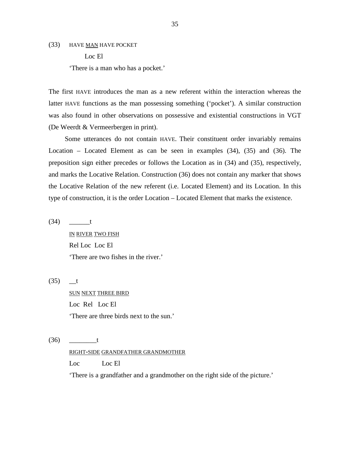(33) HAVE MAN HAVE POCKET

 Loc El 'There is a man who has a pocket.'

The first HAVE introduces the man as a new referent within the interaction whereas the latter HAVE functions as the man possessing something ('pocket'). A similar construction was also found in other observations on possessive and existential constructions in VGT (De Weerdt & Vermeerbergen in print).

Some utterances do not contain HAVE. Their constituent order invariably remains Location – Located Element as can be seen in examples (34), (35) and (36). The preposition sign either precedes or follows the Location as in (34) and (35), respectively, and marks the Locative Relation. Construction (36) does not contain any marker that shows the Locative Relation of the new referent (i.e. Located Element) and its Location. In this type of construction, it is the order Location – Located Element that marks the existence.

(34) \_\_\_\_\_\_t

IN RIVER TWO FISH Rel Loc Loc El 'There are two fishes in the river.'

 $(35)$  <u>t</u>

SUN NEXT THREE BIRD Loc Rel Loc El 'There are three birds next to the sun.'

(36) \_\_\_\_\_\_\_\_t

#### RIGHT-SIDE GRANDFATHER GRANDMOTHER

Loc Loc El

'There is a grandfather and a grandmother on the right side of the picture.'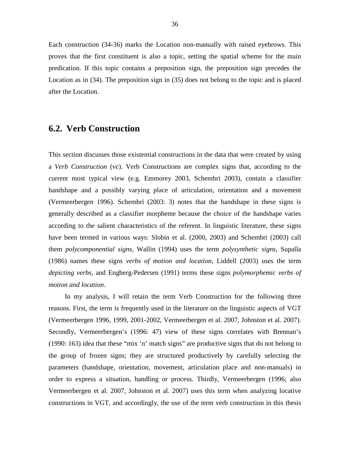Each construction (34-36) marks the Location non-manually with raised eyebrows. This proves that the first constituent is also a topic, setting the spatial scheme for the main predication. If this topic contains a preposition sign, the preposition sign precedes the Location as in (34). The preposition sign in (35) does not belong to the topic and is placed after the Location.

### **6.2. Verb Construction**

This section discusses those existential constructions in the data that were created by using a *Verb Construction* (vc). Verb Constructions are complex signs that, according to the current most typical view (e.g. Emmorey 2003, Schembri 2003), contain a classifier handshape and a possibly varying place of articulation, orientation and a movement (Vermeerbergen 1996). Schembri (2003: 3) notes that the handshape in these signs is generally described as a classifier morpheme because the choice of the handshape varies according to the salient characteristics of the referent. In linguistic literature, these signs have been termed in various ways: Slobin et al. (2000, 2003) and Schembri (2003) call them *polycomponential signs*, Wallin (1994) uses the term *polysynthetic signs*, Supalla (1986) names these signs *verbs of motion and location*, Liddell (2003) uses the term *depicting verbs*, and Engberg-Pedersen (1991) terms these signs *polymorphemic verbs of motion and location*.

In my analysis, I will retain the term Verb Construction for the following three reasons. First, the term is frequently used in the literature on the linguistic aspects of VGT (Vermeerbergen 1996, 1999, 2001-2002, Vermeerbergen et al. 2007, Johnston et al. 2007). Secondly, Vermeerbergen's (1996: 47) view of these signs correlates with Brennan's (1990: 163) idea that these "mix 'n' match signs" are productive signs that do not belong to the group of frozen signs; they are structured productively by carefully selecting the parameters (handshape, orientation, movement, articulation place and non-manuals) in order to express a situation, handling or process. Thirdly, Vermeerbergen (1996; also Vermeerbergen et al. 2007, Johnston et al. 2007) uses this term when analyzing locative constructions in VGT, and accordingly, the use of the term verb construction in this thesis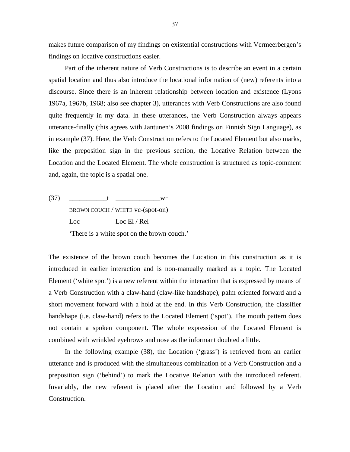makes future comparison of my findings on existential constructions with Vermeerbergen's findings on locative constructions easier.

Part of the inherent nature of Verb Constructions is to describe an event in a certain spatial location and thus also introduce the locational information of (new) referents into a discourse. Since there is an inherent relationship between location and existence (Lyons 1967a, 1967b, 1968; also see chapter 3), utterances with Verb Constructions are also found quite frequently in my data. In these utterances, the Verb Construction always appears utterance-finally (this agrees with Jantunen's 2008 findings on Finnish Sign Language), as in example (37). Here, the Verb Construction refers to the Located Element but also marks, like the preposition sign in the previous section, the Locative Relation between the Location and the Located Element. The whole construction is structured as topic-comment and, again, the topic is a spatial one.

 $(37)$  t wr BROWN COUCH / WHITE vc-(spot-on) Loc Loc El / Rel 'There is a white spot on the brown couch.'

The existence of the brown couch becomes the Location in this construction as it is introduced in earlier interaction and is non-manually marked as a topic. The Located Element ('white spot') is a new referent within the interaction that is expressed by means of a Verb Construction with a claw-hand (claw-like handshape), palm oriented forward and a short movement forward with a hold at the end. In this Verb Construction, the classifier handshape (i.e. claw-hand) refers to the Located Element ('spot'). The mouth pattern does not contain a spoken component. The whole expression of the Located Element is combined with wrinkled eyebrows and nose as the informant doubted a little.

In the following example (38), the Location ('grass') is retrieved from an earlier utterance and is produced with the simultaneous combination of a Verb Construction and a preposition sign ('behind') to mark the Locative Relation with the introduced referent. Invariably, the new referent is placed after the Location and followed by a Verb Construction.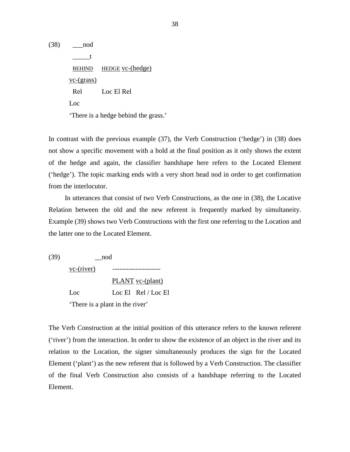(38) \_\_\_nod  $\_\_\_\_t$ BEHIND HEDGE vc-(hedge) vc-(grass) Rel Loc El Rel Loc 'There is a hedge behind the grass.'

In contrast with the previous example (37), the Verb Construction ('hedge') in (38) does not show a specific movement with a hold at the final position as it only shows the extent of the hedge and again, the classifier handshape here refers to the Located Element ('hedge'). The topic marking ends with a very short head nod in order to get confirmation from the interlocutor.

In utterances that consist of two Verb Constructions, as the one in (38), the Locative Relation between the old and the new referent is frequently marked by simultaneity. Example (39) shows two Verb Constructions with the first one referring to the Location and the latter one to the Located Element.

(39) \_\_nod

vc-(river) ---------------------

 PLANT vc-(plant) Loc Loc El Rel / Loc El 'There is a plant in the river'

The Verb Construction at the initial position of this utterance refers to the known referent ('river') from the interaction. In order to show the existence of an object in the river and its relation to the Location, the signer simultaneously produces the sign for the Located Element ('plant') as the new referent that is followed by a Verb Construction. The classifier of the final Verb Construction also consists of a handshape referring to the Located Element.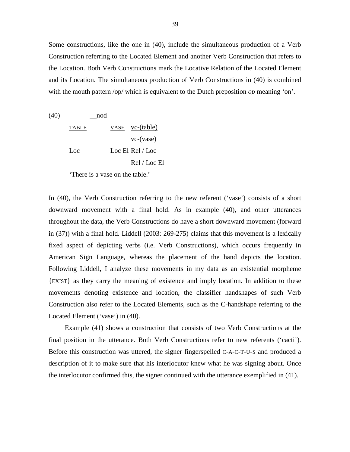Some constructions, like the one in (40), include the simultaneous production of a Verb Construction referring to the Located Element and another Verb Construction that refers to the Location. Both Verb Constructions mark the Locative Relation of the Located Element and its Location. The simultaneous production of Verb Constructions in (40) is combined with the mouth pattern /op/ which is equivalent to the Dutch preposition *op* meaning 'on'.

 $(40)$   $\qquad \qquad$  nod TABLE VASE vc-(table) vc-(vase) Loc Loc El Rel / Loc Rel / Loc El

'There is a vase on the table.'

In (40), the Verb Construction referring to the new referent ('vase') consists of a short downward movement with a final hold. As in example (40), and other utterances throughout the data, the Verb Constructions do have a short downward movement (forward in (37)) with a final hold. Liddell (2003: 269-275) claims that this movement is a lexically fixed aspect of depicting verbs (i.e. Verb Constructions), which occurs frequently in American Sign Language, whereas the placement of the hand depicts the location. Following Liddell, I analyze these movements in my data as an existential morpheme {EXIST} as they carry the meaning of existence and imply location. In addition to these movements denoting existence and location, the classifier handshapes of such Verb Construction also refer to the Located Elements, such as the C-handshape referring to the Located Element ('vase') in (40).

Example (41) shows a construction that consists of two Verb Constructions at the final position in the utterance. Both Verb Constructions refer to new referents ('cacti'). Before this construction was uttered, the signer fingerspelled C-A-C-T-U-S and produced a description of it to make sure that his interlocutor knew what he was signing about. Once the interlocutor confirmed this, the signer continued with the utterance exemplified in (41).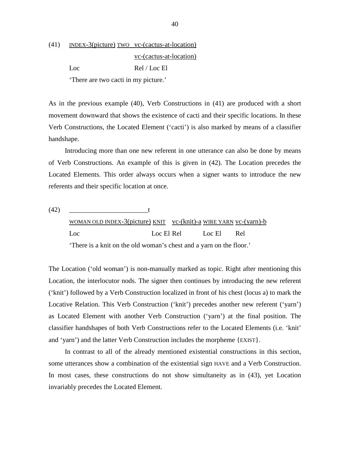(41) INDEX-3(picture) TWO vc-(cactus-at-location) vc-(cactus-at-location) Loc Rel / Loc El

'There are two cacti in my picture.'

As in the previous example (40), Verb Constructions in (41) are produced with a short movement downward that shows the existence of cacti and their specific locations. In these Verb Constructions, the Located Element ('cacti') is also marked by means of a classifier handshape.

Introducing more than one new referent in one utterance can also be done by means of Verb Constructions. An example of this is given in (42). The Location precedes the Located Elements. This order always occurs when a signer wants to introduce the new referents and their specific location at once.

(42) \_\_\_\_\_\_\_\_\_\_\_\_\_\_\_\_\_\_\_\_\_\_\_t WOMAN OLD INDEX-3(picture) KNIT vc-(knit)-a WIRE YARN vc-(yarn)-b Loc Loc El Rel Loc El Rel 'There is a knit on the old woman's chest and a yarn on the floor.'

The Location ('old woman') is non-manually marked as topic. Right after mentioning this Location, the interlocutor nods. The signer then continues by introducing the new referent ('knit') followed by a Verb Construction localized in front of his chest (locus a) to mark the Locative Relation. This Verb Construction ('knit') precedes another new referent ('yarn') as Located Element with another Verb Construction ('yarn') at the final position. The classifier handshapes of both Verb Constructions refer to the Located Elements (i.e. 'knit' and 'yarn') and the latter Verb Construction includes the morpheme {EXIST}.

In contrast to all of the already mentioned existential constructions in this section, some utterances show a combination of the existential sign HAVE and a Verb Construction. In most cases, these constructions do not show simultaneity as in (43), yet Location invariably precedes the Located Element.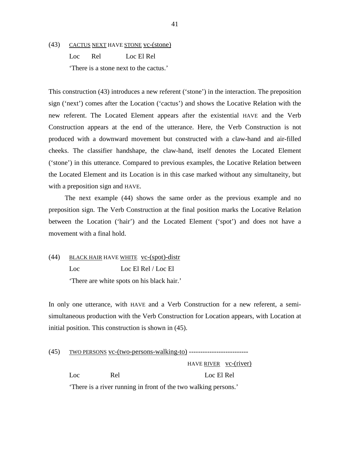(43) CACTUS NEXT HAVE STONE vc-(stone) Loc Rel Loc El Rel 'There is a stone next to the cactus.'

This construction (43) introduces a new referent ('stone') in the interaction. The preposition sign ('next') comes after the Location ('cactus') and shows the Locative Relation with the new referent. The Located Element appears after the existential HAVE and the Verb Construction appears at the end of the utterance. Here, the Verb Construction is not produced with a downward movement but constructed with a claw-hand and air-filled cheeks. The classifier handshape, the claw-hand, itself denotes the Located Element ('stone') in this utterance. Compared to previous examples, the Locative Relation between the Located Element and its Location is in this case marked without any simultaneity, but with a preposition sign and HAVE.

The next example (44) shows the same order as the previous example and no preposition sign. The Verb Construction at the final position marks the Locative Relation between the Location ('hair') and the Located Element ('spot') and does not have a movement with a final hold.

(44) BLACK HAIR HAVE WHITE vc-(spot)-distr Loc Loc El Rel / Loc El 'There are white spots on his black hair.'

In only one utterance, with HAVE and a Verb Construction for a new referent, a semisimultaneous production with the Verb Construction for Location appears, with Location at initial position. This construction is shown in (45).

(45) TWO PERSONS vc-(two-persons-walking-to) --------------------------

 HAVE RIVER vc-(river) Loc Rel Loc El Rel 'There is a river running in front of the two walking persons.'

41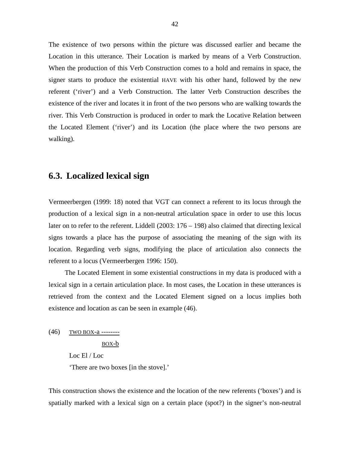The existence of two persons within the picture was discussed earlier and became the Location in this utterance. Their Location is marked by means of a Verb Construction. When the production of this Verb Construction comes to a hold and remains in space, the signer starts to produce the existential HAVE with his other hand, followed by the new referent ('river') and a Verb Construction. The latter Verb Construction describes the existence of the river and locates it in front of the two persons who are walking towards the river. This Verb Construction is produced in order to mark the Locative Relation between the Located Element ('river') and its Location (the place where the two persons are walking).

#### **6.3. Localized lexical sign**

Vermeerbergen (1999: 18) noted that VGT can connect a referent to its locus through the production of a lexical sign in a non-neutral articulation space in order to use this locus later on to refer to the referent. Liddell (2003: 176 – 198) also claimed that directing lexical signs towards a place has the purpose of associating the meaning of the sign with its location. Regarding verb signs, modifying the place of articulation also connects the referent to a locus (Vermeerbergen 1996: 150).

The Located Element in some existential constructions in my data is produced with a lexical sign in a certain articulation place. In most cases, the Location in these utterances is retrieved from the context and the Located Element signed on a locus implies both existence and location as can be seen in example (46).

(46) TWO BOX-a --------

BOX-b

Loc El / Loc

'There are two boxes [in the stove].'

This construction shows the existence and the location of the new referents ('boxes') and is spatially marked with a lexical sign on a certain place (spot?) in the signer's non-neutral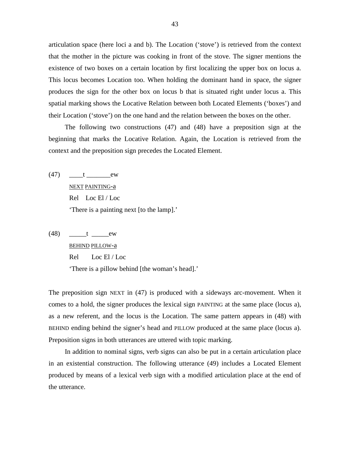articulation space (here loci a and b). The Location ('stove') is retrieved from the context that the mother in the picture was cooking in front of the stove. The signer mentions the existence of two boxes on a certain location by first localizing the upper box on locus a. This locus becomes Location too. When holding the dominant hand in space, the signer produces the sign for the other box on locus b that is situated right under locus a. This spatial marking shows the Locative Relation between both Located Elements ('boxes') and their Location ('stove') on the one hand and the relation between the boxes on the other.

The following two constructions (47) and (48) have a preposition sign at the beginning that marks the Locative Relation. Again, the Location is retrieved from the context and the preposition sign precedes the Located Element.

- $(47)$   $t$  ew NEXT PAINTING-a Rel Loc El / Loc 'There is a painting next [to the lamp].'
- (48) \_\_\_\_\_t \_\_\_\_\_ew BEHIND PILLOW-a Rel Loc El / Loc 'There is a pillow behind [the woman's head].'

The preposition sign NEXT in (47) is produced with a sideways arc-movement. When it comes to a hold, the signer produces the lexical sign PAINTING at the same place (locus a), as a new referent, and the locus is the Location. The same pattern appears in (48) with BEHIND ending behind the signer's head and PILLOW produced at the same place (locus a). Preposition signs in both utterances are uttered with topic marking.

In addition to nominal signs, verb signs can also be put in a certain articulation place in an existential construction. The following utterance (49) includes a Located Element produced by means of a lexical verb sign with a modified articulation place at the end of the utterance.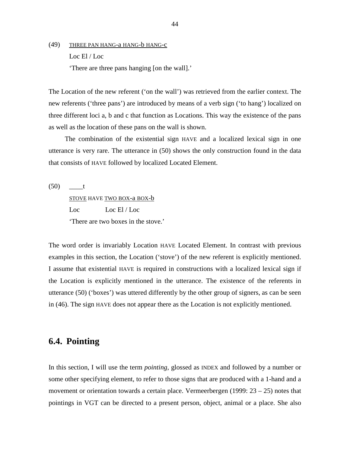(49) THREE PAN HANG-a HANG-b HANG-c Loc El / Loc 'There are three pans hanging [on the wall].'

The Location of the new referent ('on the wall') was retrieved from the earlier context. The new referents ('three pans') are introduced by means of a verb sign ('to hang') localized on three different loci a, b and c that function as Locations. This way the existence of the pans as well as the location of these pans on the wall is shown.

The combination of the existential sign HAVE and a localized lexical sign in one utterance is very rare. The utterance in (50) shows the only construction found in the data that consists of HAVE followed by localized Located Element.

 $(50)$  t STOVE HAVE TWO BOX-a BOX-b Loc Loc El / Loc 'There are two boxes in the stove.'

The word order is invariably Location HAVE Located Element. In contrast with previous examples in this section, the Location ('stove') of the new referent is explicitly mentioned. I assume that existential HAVE is required in constructions with a localized lexical sign if the Location is explicitly mentioned in the utterance. The existence of the referents in utterance (50) ('boxes') was uttered differently by the other group of signers, as can be seen in (46). The sign HAVE does not appear there as the Location is not explicitly mentioned.

## **6.4. Pointing**

In this section, I will use the term *pointing*, glossed as INDEX and followed by a number or some other specifying element, to refer to those signs that are produced with a 1-hand and a movement or orientation towards a certain place. Vermeerbergen (1999: 23 – 25) notes that pointings in VGT can be directed to a present person, object, animal or a place. She also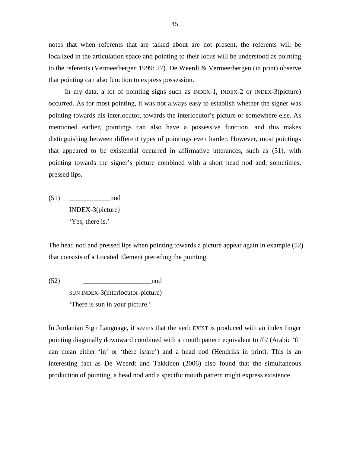notes that when referents that are talked about are not present, the referents will be localized in the articulation space and pointing to their locus will be understood as pointing to the referents (Vermeerbergen 1999: 27). De Weerdt & Vermeerbergen (in print) observe that pointing can also function to express possession.

In my data, a lot of pointing signs such as INDEX-1, INDEX-2 or INDEX-3(picture) occurred. As for most pointing, it was not always easy to establish whether the signer was pointing towards his interlocutor, towards the interlocutor's picture or somewhere else. As mentioned earlier, pointings can also have a possessive function, and this makes distinguishing between different types of pointings even harder. However, most pointings that appeared to be existential occurred in affirmative utterances, such as (51), with pointing towards the signer's picture combined with a short head nod and, sometimes, pressed lips.

 $(51)$  nod INDEX-3(picture) 'Yes, there is.'

The head nod and pressed lips when pointing towards a picture appear again in example (52) that consists of a Located Element preceding the pointing.

(52) \_\_\_\_\_\_\_\_\_\_\_\_\_\_\_\_\_\_\_\_nod

SUN INDEX-3(interlocutor-picture) 'There is sun in your picture.'

In Jordanian Sign Language, it seems that the verb EXIST is produced with an index finger pointing diagonally downward combined with a mouth pattern equivalent to /fi/ (Arabic 'fi' can mean either 'in' or 'there is/are') and a head nod (Hendriks in print). This is an interesting fact as De Weerdt and Takkinen (2006) also found that the simultaneous production of pointing, a head nod and a specific mouth pattern might express existence.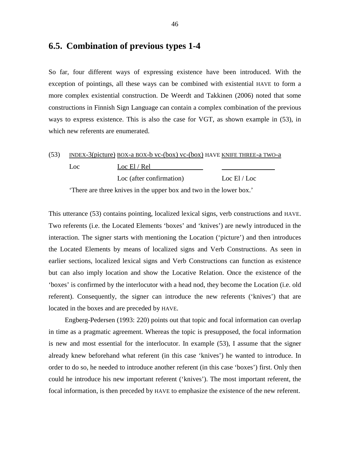## **6.5. Combination of previous types 1-4**

So far, four different ways of expressing existence have been introduced. With the exception of pointings, all these ways can be combined with existential HAVE to form a more complex existential construction. De Weerdt and Takkinen (2006) noted that some constructions in Finnish Sign Language can contain a complex combination of the previous ways to express existence. This is also the case for VGT, as shown example in (53), in which new referents are enumerated.

| (53) |      | INDEX-3(picture) BOX-a BOX-b vc-(box) vc-(box) HAVE KNIFE THREE-a TWO-a |                |
|------|------|-------------------------------------------------------------------------|----------------|
|      | Loc. | Loc El / Rel                                                            |                |
|      |      | Loc (after confirmation)                                                | Loc $El / Loc$ |

'There are three knives in the upper box and two in the lower box.'

This utterance (53) contains pointing, localized lexical signs, verb constructions and HAVE. Two referents (i.e. the Located Elements 'boxes' and 'knives') are newly introduced in the interaction. The signer starts with mentioning the Location ('picture') and then introduces the Located Elements by means of localized signs and Verb Constructions. As seen in earlier sections, localized lexical signs and Verb Constructions can function as existence but can also imply location and show the Locative Relation. Once the existence of the 'boxes' is confirmed by the interlocutor with a head nod, they become the Location (i.e. old referent). Consequently, the signer can introduce the new referents ('knives') that are located in the boxes and are preceded by HAVE.

Engberg-Pedersen (1993: 220) points out that topic and focal information can overlap in time as a pragmatic agreement. Whereas the topic is presupposed, the focal information is new and most essential for the interlocutor. In example (53), I assume that the signer already knew beforehand what referent (in this case 'knives') he wanted to introduce. In order to do so, he needed to introduce another referent (in this case 'boxes') first. Only then could he introduce his new important referent ('knives'). The most important referent, the focal information, is then preceded by HAVE to emphasize the existence of the new referent.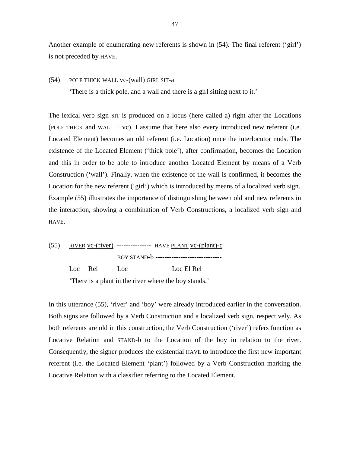Another example of enumerating new referents is shown in (54). The final referent ('girl') is not preceded by HAVE.

#### (54) POLE THICK WALL vc-(wall) GIRL SIT-a

'There is a thick pole, and a wall and there is a girl sitting next to it.'

The lexical verb sign SIT is produced on a locus (here called a) right after the Locations (POLE THICK and WALL  $+$  vc). I assume that here also every introduced new referent (i.e. Located Element) becomes an old referent (i.e. Location) once the interlocutor nods. The existence of the Located Element ('thick pole'), after confirmation, becomes the Location and this in order to be able to introduce another Located Element by means of a Verb Construction ('wall'). Finally, when the existence of the wall is confirmed, it becomes the Location for the new referent ('girl') which is introduced by means of a localized verb sign. Example (55) illustrates the importance of distinguishing between old and new referents in the interaction, showing a combination of Verb Constructions, a localized verb sign and HAVE.



'There is a plant in the river where the boy stands.'

In this utterance (55), 'river' and 'boy' were already introduced earlier in the conversation. Both signs are followed by a Verb Construction and a localized verb sign, respectively. As both referents are old in this construction, the Verb Construction ('river') refers function as Locative Relation and STAND-b to the Location of the boy in relation to the river. Consequently, the signer produces the existential HAVE to introduce the first new important referent (i.e. the Located Element 'plant') followed by a Verb Construction marking the Locative Relation with a classifier referring to the Located Element.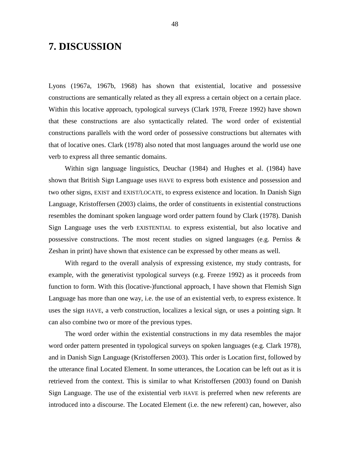## **7. DISCUSSION**

Lyons (1967a, 1967b, 1968) has shown that existential, locative and possessive constructions are semantically related as they all express a certain object on a certain place. Within this locative approach, typological surveys (Clark 1978, Freeze 1992) have shown that these constructions are also syntactically related. The word order of existential constructions parallels with the word order of possessive constructions but alternates with that of locative ones. Clark (1978) also noted that most languages around the world use one verb to express all three semantic domains.

Within sign language linguistics, Deuchar (1984) and Hughes et al. (1984) have shown that British Sign Language uses HAVE to express both existence and possession and two other signs, EXIST and EXIST/LOCATE, to express existence and location. In Danish Sign Language, Kristoffersen (2003) claims, the order of constituents in existential constructions resembles the dominant spoken language word order pattern found by Clark (1978). Danish Sign Language uses the verb EXISTENTIAL to express existential, but also locative and possessive constructions. The most recent studies on signed languages (e.g. Perniss & Zeshan in print) have shown that existence can be expressed by other means as well.

With regard to the overall analysis of expressing existence, my study contrasts, for example, with the generativist typological surveys (e.g. Freeze 1992) as it proceeds from function to form. With this (locative-)functional approach, I have shown that Flemish Sign Language has more than one way, i.e. the use of an existential verb, to express existence. It uses the sign HAVE, a verb construction, localizes a lexical sign, or uses a pointing sign. It can also combine two or more of the previous types.

The word order within the existential constructions in my data resembles the major word order pattern presented in typological surveys on spoken languages (e.g. Clark 1978), and in Danish Sign Language (Kristoffersen 2003). This order is Location first, followed by the utterance final Located Element. In some utterances, the Location can be left out as it is retrieved from the context. This is similar to what Kristoffersen (2003) found on Danish Sign Language. The use of the existential verb HAVE is preferred when new referents are introduced into a discourse. The Located Element (i.e. the new referent) can, however, also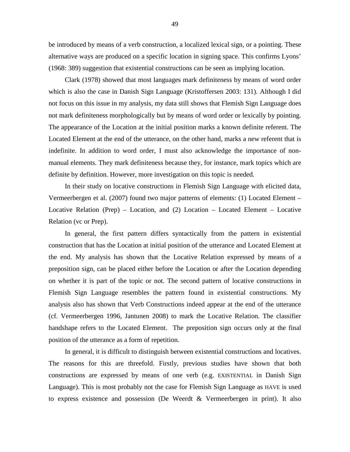be introduced by means of a verb construction, a localized lexical sign, or a pointing. These alternative ways are produced on a specific location in signing space. This confirms Lyons' (1968: 389) suggestion that existential constructions can be seen as implying location.

Clark (1978) showed that most languages mark definiteness by means of word order which is also the case in Danish Sign Language (Kristoffersen 2003: 131). Although I did not focus on this issue in my analysis, my data still shows that Flemish Sign Language does not mark definiteness morphologically but by means of word order or lexically by pointing. The appearance of the Location at the initial position marks a known definite referent. The Located Element at the end of the utterance, on the other hand, marks a new referent that is indefinite. In addition to word order, I must also acknowledge the importance of nonmanual elements. They mark definiteness because they, for instance, mark topics which are definite by definition. However, more investigation on this topic is needed.

In their study on locative constructions in Flemish Sign Language with elicited data, Vermeerbergen et al. (2007) found two major patterns of elements: (1) Located Element – Locative Relation (Prep) – Location, and (2) Location – Located Element – Locative Relation (vc or Prep).

In general, the first pattern differs syntactically from the pattern in existential construction that has the Location at initial position of the utterance and Located Element at the end. My analysis has shown that the Locative Relation expressed by means of a preposition sign, can be placed either before the Location or after the Location depending on whether it is part of the topic or not. The second pattern of locative constructions in Flemish Sign Language resembles the pattern found in existential constructions. My analysis also has shown that Verb Constructions indeed appear at the end of the utterance (cf. Vermeerbergen 1996, Jantunen 2008) to mark the Locative Relation. The classifier handshape refers to the Located Element. The preposition sign occurs only at the final position of the utterance as a form of repetition.

In general, it is difficult to distinguish between existential constructions and locatives. The reasons for this are threefold. Firstly, previous studies have shown that both constructions are expressed by means of one verb (e.g. EXISTENTIAL in Danish Sign Language). This is most probably not the case for Flemish Sign Language as HAVE is used to express existence and possession (De Weerdt & Vermeerbergen in print). It also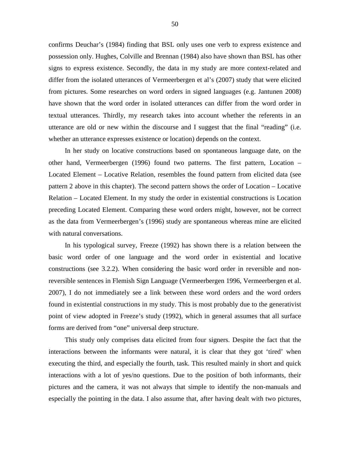confirms Deuchar's (1984) finding that BSL only uses one verb to express existence and possession only. Hughes, Colville and Brennan (1984) also have shown than BSL has other signs to express existence. Secondly, the data in my study are more context-related and differ from the isolated utterances of Vermeerbergen et al's (2007) study that were elicited from pictures. Some researches on word orders in signed languages (e.g. Jantunen 2008) have shown that the word order in isolated utterances can differ from the word order in textual utterances. Thirdly, my research takes into account whether the referents in an utterance are old or new within the discourse and I suggest that the final "reading" (i.e. whether an utterance expresses existence or location) depends on the context.

In her study on locative constructions based on spontaneous language date, on the other hand, Vermeerbergen (1996) found two patterns. The first pattern, Location – Located Element – Locative Relation, resembles the found pattern from elicited data (see pattern 2 above in this chapter). The second pattern shows the order of Location – Locative Relation – Located Element. In my study the order in existential constructions is Location preceding Located Element. Comparing these word orders might, however, not be correct as the data from Vermeerbergen's (1996) study are spontaneous whereas mine are elicited with natural conversations.

In his typological survey, Freeze (1992) has shown there is a relation between the basic word order of one language and the word order in existential and locative constructions (see 3.2.2). When considering the basic word order in reversible and nonreversible sentences in Flemish Sign Language (Vermeerbergen 1996, Vermeerbergen et al. 2007), I do not immediately see a link between these word orders and the word orders found in existential constructions in my study. This is most probably due to the generativist point of view adopted in Freeze's study (1992), which in general assumes that all surface forms are derived from "one" universal deep structure.

This study only comprises data elicited from four signers. Despite the fact that the interactions between the informants were natural, it is clear that they got 'tired' when executing the third, and especially the fourth, task. This resulted mainly in short and quick interactions with a lot of yes/no questions. Due to the position of both informants, their pictures and the camera, it was not always that simple to identify the non-manuals and especially the pointing in the data. I also assume that, after having dealt with two pictures,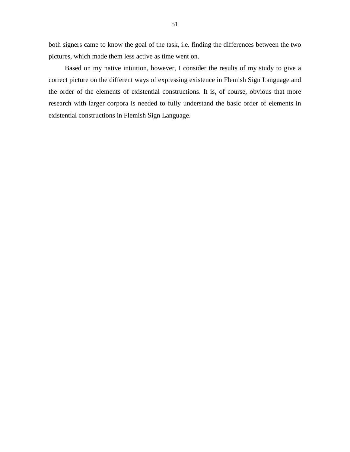both signers came to know the goal of the task, i.e. finding the differences between the two pictures, which made them less active as time went on.

Based on my native intuition, however, I consider the results of my study to give a correct picture on the different ways of expressing existence in Flemish Sign Language and the order of the elements of existential constructions. It is, of course, obvious that more research with larger corpora is needed to fully understand the basic order of elements in existential constructions in Flemish Sign Language.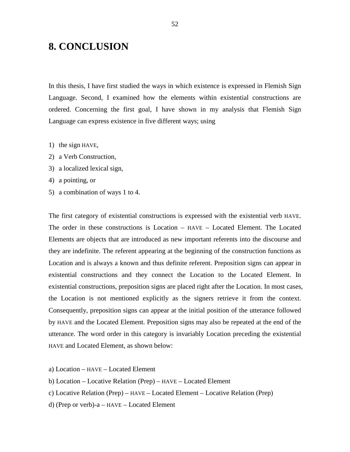# **8. CONCLUSION**

In this thesis, I have first studied the ways in which existence is expressed in Flemish Sign Language. Second, I examined how the elements within existential constructions are ordered. Concerning the first goal, I have shown in my analysis that Flemish Sign Language can express existence in five different ways; using

- 1) the sign HAVE,
- 2) a Verb Construction,
- 3) a localized lexical sign,
- 4) a pointing, or
- 5) a combination of ways 1 to 4.

The first category of existential constructions is expressed with the existential verb HAVE. The order in these constructions is Location – HAVE – Located Element. The Located Elements are objects that are introduced as new important referents into the discourse and they are indefinite. The referent appearing at the beginning of the construction functions as Location and is always a known and thus definite referent. Preposition signs can appear in existential constructions and they connect the Location to the Located Element. In existential constructions, preposition signs are placed right after the Location. In most cases, the Location is not mentioned explicitly as the signers retrieve it from the context. Consequently, preposition signs can appear at the initial position of the utterance followed by HAVE and the Located Element. Preposition signs may also be repeated at the end of the utterance. The word order in this category is invariably Location preceding the existential HAVE and Located Element, as shown below:

- a) Location HAVE Located Element
- b) Location Locative Relation (Prep) HAVE Located Element
- c) Locative Relation (Prep) HAVE Located Element Locative Relation (Prep)
- d) (Prep or verb)-a HAVE Located Element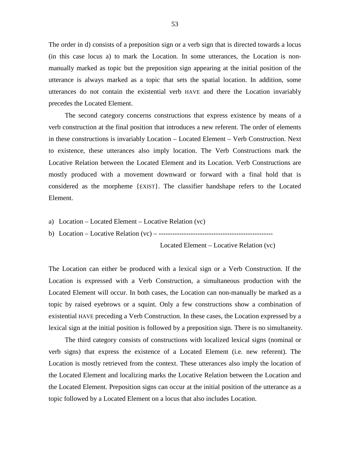The order in d) consists of a preposition sign or a verb sign that is directed towards a locus (in this case locus a) to mark the Location. In some utterances, the Location is nonmanually marked as topic but the preposition sign appearing at the initial position of the utterance is always marked as a topic that sets the spatial location. In addition, some utterances do not contain the existential verb HAVE and there the Location invariably precedes the Located Element.

The second category concerns constructions that express existence by means of a verb construction at the final position that introduces a new referent. The order of elements in these constructions is invariably Location – Located Element – Verb Construction. Next to existence, these utterances also imply location. The Verb Constructions mark the Locative Relation between the Located Element and its Location. Verb Constructions are mostly produced with a movement downward or forward with a final hold that is considered as the morpheme {EXIST}. The classifier handshape refers to the Located Element.

- a) Location Located Element Locative Relation (vc)
- b) Location Locative Relation (vc) --------------------------------------------------

Located Element – Locative Relation (vc)

The Location can either be produced with a lexical sign or a Verb Construction. If the Location is expressed with a Verb Construction, a simultaneous production with the Located Element will occur. In both cases, the Location can non-manually be marked as a topic by raised eyebrows or a squint. Only a few constructions show a combination of existential HAVE preceding a Verb Construction. In these cases, the Location expressed by a lexical sign at the initial position is followed by a preposition sign. There is no simultaneity.

The third category consists of constructions with localized lexical signs (nominal or verb signs) that express the existence of a Located Element (i.e. new referent). The Location is mostly retrieved from the context. These utterances also imply the location of the Located Element and localizing marks the Locative Relation between the Location and the Located Element. Preposition signs can occur at the initial position of the utterance as a topic followed by a Located Element on a locus that also includes Location.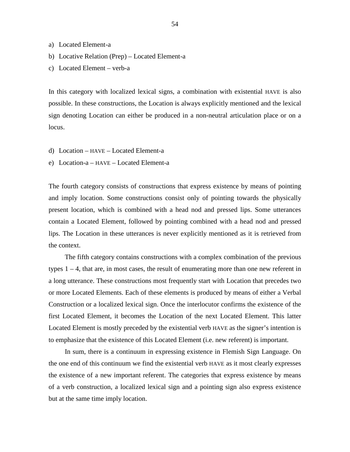- a) Located Element-a
- b) Locative Relation (Prep) Located Element-a
- c) Located Element verb-a

In this category with localized lexical signs, a combination with existential HAVE is also possible. In these constructions, the Location is always explicitly mentioned and the lexical sign denoting Location can either be produced in a non-neutral articulation place or on a locus.

- d) Location HAVE Located Element-a
- e) Location-a HAVE Located Element-a

The fourth category consists of constructions that express existence by means of pointing and imply location. Some constructions consist only of pointing towards the physically present location, which is combined with a head nod and pressed lips. Some utterances contain a Located Element, followed by pointing combined with a head nod and pressed lips. The Location in these utterances is never explicitly mentioned as it is retrieved from the context.

The fifth category contains constructions with a complex combination of the previous types 1 – 4, that are, in most cases, the result of enumerating more than one new referent in a long utterance. These constructions most frequently start with Location that precedes two or more Located Elements. Each of these elements is produced by means of either a Verbal Construction or a localized lexical sign. Once the interlocutor confirms the existence of the first Located Element, it becomes the Location of the next Located Element. This latter Located Element is mostly preceded by the existential verb HAVE as the signer's intention is to emphasize that the existence of this Located Element (i.e. new referent) is important.

In sum, there is a continuum in expressing existence in Flemish Sign Language. On the one end of this continuum we find the existential verb HAVE as it most clearly expresses the existence of a new important referent. The categories that express existence by means of a verb construction, a localized lexical sign and a pointing sign also express existence but at the same time imply location.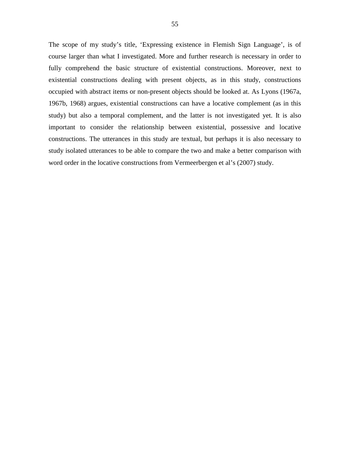The scope of my study's title, 'Expressing existence in Flemish Sign Language', is of course larger than what I investigated. More and further research is necessary in order to fully comprehend the basic structure of existential constructions. Moreover, next to existential constructions dealing with present objects, as in this study, constructions occupied with abstract items or non-present objects should be looked at. As Lyons (1967a, 1967b, 1968) argues, existential constructions can have a locative complement (as in this study) but also a temporal complement, and the latter is not investigated yet. It is also important to consider the relationship between existential, possessive and locative constructions. The utterances in this study are textual, but perhaps it is also necessary to study isolated utterances to be able to compare the two and make a better comparison with word order in the locative constructions from Vermeerbergen et al's (2007) study.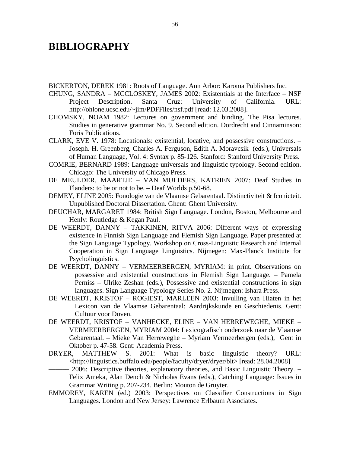## **BIBLIOGRAPHY**

BICKERTON, DEREK 1981: Roots of Language. Ann Arbor: Karoma Publishers Inc.

- CHUNG, SANDRA MCCLOSKEY, JAMES 2002: Existentials at the Interface NSF Project Description. Santa Cruz: University of California. URL: http://ohlone.ucsc.edu/~jim/PDFFiles/nsf.pdf [read: 12.03.2008].
- CHOMSKY, NOAM 1982: Lectures on government and binding. The Pisa lectures. Studies in generative grammar No. 9. Second edition. Dordrecht and Cinnaminson: Foris Publications.
- CLARK, EVE V. 1978: Locationals: existential, locative, and possessive constructions. Joseph. H. Greenberg, Charles A. Ferguson, Edith A. Moravcsik (eds.), Universals of Human Language, Vol. 4: Syntax p. 85-126. Stanford: Stanford University Press.
- COMRIE, BERNARD 1989: Language universals and linguistic typology. Second edition. Chicago: The University of Chicago Press.
- DE MEULDER, MAARTJE VAN MULDERS, KATRIEN 2007: Deaf Studies in Flanders: to be or not to be. – Deaf Worlds p.50-68.
- DEMEY, ELINE 2005: Fonologie van de Vlaamse Gebarentaal. Distinctiviteit & Iconicteit. Unpublished Doctoral Dissertation. Ghent: Ghent University.
- DEUCHAR, MARGARET 1984: British Sign Language. London, Boston, Melbourne and Henly: Routledge & Kegan Paul.
- DE WEERDT, DANNY TAKKINEN, RITVA 2006: Different ways of expressing existence in Finnish Sign Language and Flemish Sign Language. Paper presented at the Sign Language Typology. Workshop on Cross-Linguistic Research and Internal Cooperation in Sign Language Linguistics. Nijmegen: Max-Planck Institute for Psycholinguistics.
- DE WEERDT, DANNY VERMEERBERGEN, MYRIAM: in print. Observations on possessive and existential constructions in Flemish Sign Language. – Pamela Perniss – Ulrike Zeshan (eds.), Possessive and existential constructions in sign languages. Sign Language Typology Series No. 2. Nijmegen: Ishara Press.
- DE WEERDT, KRISTOF ROGIEST, MARLEEN 2003: Invulling van Hiaten in het Lexicon van de Vlaamse Gebarentaal: Aardrijkskunde en Geschiedenis. Gent: Cultuur voor Doven.
- DE WEERDT, KRISTOF VANHECKE, ELINE VAN HERREWEGHE, MIEKE VERMEERBERGEN, MYRIAM 2004: Lexicografisch onderzoek naar de Vlaamse Gebarentaal. – Mieke Van Herreweghe – Myriam Vermeerbergen (eds.), Gent in Oktober p. 47-58. Gent: Academia Press.
- DRYER, MATTHEW S. 2001: What is basic linguistic theory? URL: <http://linguistics.buffalo.edu/people/faculty/dryer/dryer/blt> [read: 28.04.2008]
	- –––––– 2006: Descriptive theories, explanatory theories, and Basic Linguistic Theory. Felix Ameka, Alan Dench & Nicholas Evans (eds.), Catching Language: Issues in Grammar Writing p. 207-234. Berlin: Mouton de Gruyter.
- EMMOREY, KAREN (ed.) 2003: Perspectives on Classifier Constructions in Sign Languages. London and New Jersey: Lawrence Erlbaum Associates.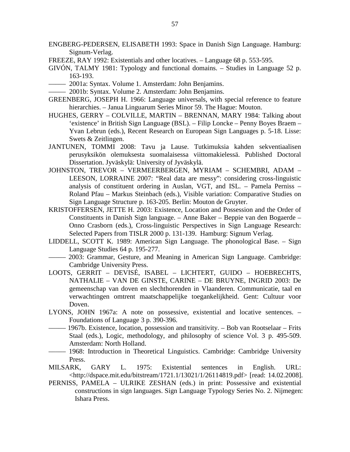- ENGBERG-PEDERSEN, ELISABETH 1993: Space in Danish Sign Language. Hamburg: Signum-Verlag.
- FREEZE, RAY 1992: Existentials and other locatives. Language 68 p. 553-595.
- GIVÓN, TALMY 1981: Typology and functional domains. Studies in Language 52 p. 163-193.
- ––––– 2001a: Syntax. Volume 1. Amsterdam: John Benjamins.
- ––––– 2001b: Syntax. Volume 2. Amsterdam: John Benjamins.
- GREENBERG, JOSEPH H. 1966: Language universals, with special reference to feature hierarchies. – Janua Linguarum Series Minor 59. The Hague: Mouton.
- HUGHES, GERRY COLVILLE, MARTIN BRENNAN, MARY 1984: Talking about 'existence' in British Sign Language (BSL). – Filip Loncke – Penny Boyes Braem – Yvan Lebrun (eds.), Recent Research on European Sign Languages p. 5-18. Lisse: Swets & Zeitlingen.
- JANTUNEN, TOMMI 2008: Tavu ja Lause. Tutkimuksia kahden sekventiaalisen perusyksikön olemuksesta suomalaisessa viittomakielessä. Published Doctoral Dissertation. Jyväskylä: University of Jyväskylä.
- JOHNSTON, TREVOR VERMEERBERGEN, MYRIAM SCHEMBRI, ADAM LEESON, LORRAINE 2007: "Real data are messy": considering cross-linguistic analysis of constituent ordering in Auslan, VGT, and ISL. – Pamela Perniss – Roland Pfau – Markus Steinbach (eds.), Visible variation: Comparative Studies on Sign Language Structure p. 163-205. Berlin: Mouton de Gruyter.
- KRISTOFFERSEN, JETTE H. 2003: Existence, Location and Possession and the Order of Constituents in Danish Sign language. – Anne Baker – Beppie van den Bogaerde – Onno Crasborn (eds.), Cross-linguistic Perspectives in Sign Language Research: Selected Papers from TISLR 2000 p. 131-139. Hamburg: Signum Verlag.
- LIDDELL, SCOTT K. 1989: American Sign Language. The phonological Base. Sign Language Studies 64 p. 195-277.
- ––––– 2003: Grammar, Gesture, and Meaning in American Sign Language. Cambridge: Cambridge University Press.
- LOOTS, GERRIT DEVISÉ, ISABEL LICHTERT, GUIDO HOEBRECHTS, NATHALIE – VAN DE GINSTE, CARINE – DE BRUYNE, INGRID 2003: De gemeenschap van doven en slechthorenden in Vlaanderen. Communicatie, taal en verwachtingen omtrent maatschappelijke toegankelijkheid. Gent: Cultuur voor Doven.
- LYONS, JOHN 1967a: A note on possessive, existential and locative sentences. Foundations of Language 3 p. 390-396.
- ––––– 1967b. Existence, location, possession and transitivity. Bob van Rootselaar Frits Staal (eds.), Logic, methodology, and philosophy of science Vol. 3 p. 495-509. Amsterdam: North Holland.
- ––––– 1968: Introduction in Theoretical Linguistics. Cambridge: Cambridge University Press.
- MILSARK, GARY L. 1975: Existential sentences in English. URL: <http://dspace.mit.edu/bitstream/1721.1/13021/1/26114819.pdf> [read: 14.02.2008].
- PERNISS, PAMELA ULRIKE ZESHAN (eds.) in print: Possessive and existential constructions in sign languages. Sign Language Typology Series No. 2. Nijmegen: Ishara Press.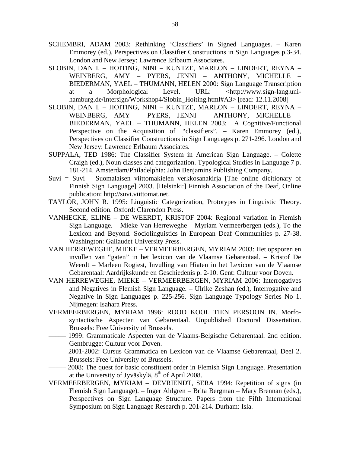- SCHEMBRI, ADAM 2003: Rethinking 'Classifiers' in Signed Languages. Karen Emmorey (ed.), Perspectives on Classifier Constructions in Sign Languages p.3-34. London and New Jersey: Lawrence Erlbaum Associates.
- SLOBIN, DAN I. HOITING, NINI KUNTZE, MARLON LINDERT, REYNA WEINBERG, AMY – PYERS, JENNI – ANTHONY, MICHELLE – BIEDERMAN, YAEL – THUMANN, HELEN 2000: Sign Language Transcription at a Morphological Level. URL: <http://www.sign-lang.unihamburg.de/Intersign/Workshop4/Slobin\_Hoiting.html#A3> [read: 12.11.2008]
- SLOBIN, DAN I. HOITING, NINI KUNTZE, MARLON LINDERT, REYNA WEINBERG, AMY – PYERS, JENNI – ANTHONY, MICHELLE – BIEDERMAN, YAEL – THUMANN, HELEN 2003: A Cognitive/Functional Perspective on the Acquisition of "classifiers". – Karen Emmorey (ed.), Perspectives on Classifier Constructions in Sign Languages p. 271-296. London and New Jersey: Lawrence Erlbaum Associates.
- SUPPALA, TED 1986: The Classifier System in American Sign Language. Colette Craigh (ed.), Noun classes and categorization. Typological Studies in Language 7 p. 181-214. Amsterdam/Philadelphia: John Benjamins Publishing Company.
- Suvi = Suvi Suomalaisen viittomakielen verkkosanakirja [The online dicitionary of Finnish Sign Language] 2003. [Helsinki:] Finnish Association of the Deaf, Online publication: http://suvi.viittomat.net.
- TAYLOR, JOHN R. 1995: Linguistic Categorization, Prototypes in Linguistic Theory. Second edition. Oxford: Clarendon Press.
- VANHECKE, ELINE DE WEERDT, KRISTOF 2004: Regional variation in Flemish Sign Language. – Mieke Van Herreweghe – Myriam Vermeerbergen (eds.), To the Lexicon and Beyond. Sociolinguistics in European Deaf Communities p. 27-38. Washington: Gallaudet University Press.
- VAN HERREWEGHE, MIEKE VERMEERBERGEN, MYRIAM 2003: Het opsporen en invullen van "gaten" in het lexicon van de Vlaamse Gebarentaal. – Kristof De Weerdt – Marleen Rogiest, Invulling van Hiaten in het Lexicon van de Vlaamse Gebarentaal: Aardrijkskunde en Geschiedenis p. 2-10. Gent: Cultuur voor Doven.
- VAN HERREWEGHE, MIEKE VERMEERBERGEN, MYRIAM 2006: Interrogatives and Negatives in Flemish Sign Language. – Ulrike Zeshan (ed.), Interrogative and Negative in Sign Languages p. 225-256. Sign Language Typology Series No 1. Nijmegen: Isahara Press.
- VERMEERBERGEN, MYRIAM 1996: ROOD KOOL TIEN PERSOON IN. Morfosyntactische Aspecten van Gebarentaal. Unpublished Doctoral Dissertation. Brussels: Free University of Brussels.
- ––––– 1999: Grammaticale Aspecten van de Vlaams-Belgische Gebarentaal. 2nd edition. Gentbrugge: Cultuur voor Doven.
- ––––– 2001-2002: Cursus Grammatica en Lexicon van de Vlaamse Gebarentaal, Deel 2. Brussels: Free University of Brussels.
- 2008: The quest for basic constituent order in Flemish Sign Language. Presentation at the University of Jyväskylä, 8<sup>th</sup> of April 2008.
- VERMEERBERGEN, MYRIAM DEVRIENDT, SERA 1994: Repetition of signs (in Flemish Sign Language). – Inger Ahlgren – Brita Bergman – Mary Brennan (eds.), Perspectives on Sign Language Structure. Papers from the Fifth International Symposium on Sign Language Research p. 201-214. Durham: Isla.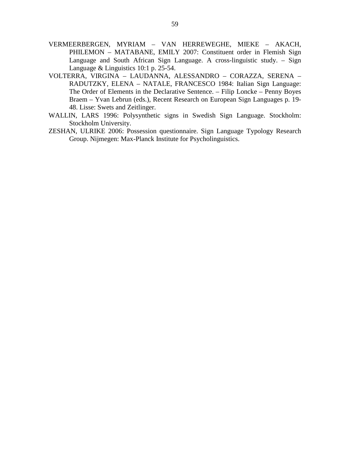- VERMEERBERGEN, MYRIAM VAN HERREWEGHE, MIEKE AKACH, PHILEMON – MATABANE, EMILY 2007: Constituent order in Flemish Sign Language and South African Sign Language. A cross-linguistic study. – Sign Language & Linguistics 10:1 p. 25-54.
- VOLTERRA, VIRGINA LAUDANNA, ALESSANDRO CORAZZA, SERENA RADUTZKY, ELENA – NATALE, FRANCESCO 1984: Italian Sign Language: The Order of Elements in the Declarative Sentence. – Filip Loncke – Penny Boyes Braem – Yvan Lebrun (eds.), Recent Research on European Sign Languages p. 19- 48. Lisse: Swets and Zeitlinger.
- WALLIN, LARS 1996: Polysynthetic signs in Swedish Sign Language. Stockholm: Stockholm University.
- ZESHAN, ULRIKE 2006: Possession questionnaire. Sign Language Typology Research Group. Nijmegen: Max-Planck Institute for Psycholinguistics.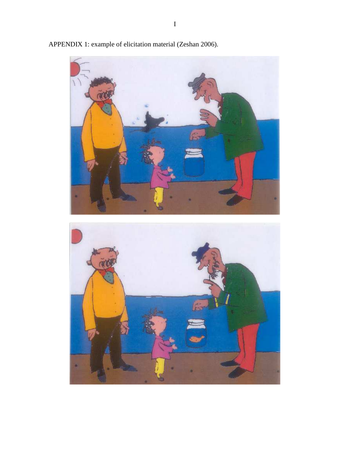

APPENDIX 1: example of elicitation material (Zeshan 2006).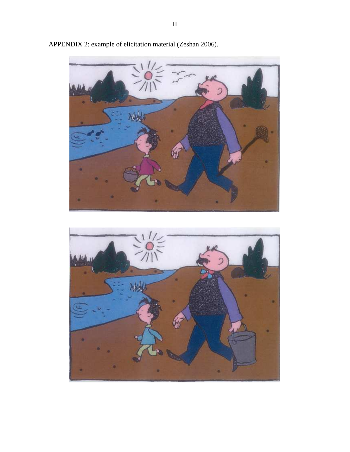

APPENDIX 2: example of elicitation material (Zeshan 2006).

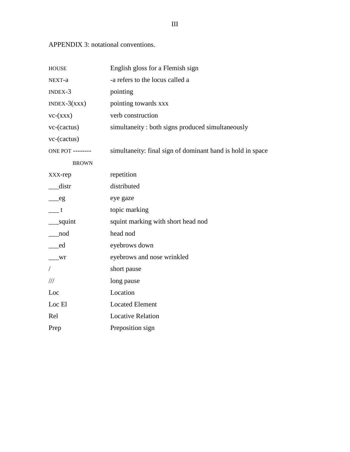APPENDIX 3: notational conventions.

| <b>HOUSE</b>               | English gloss for a Flemish sign                           |  |
|----------------------------|------------------------------------------------------------|--|
| NEXT-a                     | -a refers to the locus called a                            |  |
| $INDEX-3$                  | pointing                                                   |  |
| $INDEX-3(xx)$              | pointing towards xxx                                       |  |
| $vc-(xxx)$                 | verb construction                                          |  |
| $vc$ -(cactus)             | simultaneity: both signs produced simultaneously           |  |
| vc-(cactus)                |                                                            |  |
| <b>ONE POT --------</b>    | simultaneity: final sign of dominant hand is hold in space |  |
| <b>BROWN</b>               |                                                            |  |
| XXX-rep                    | repetition                                                 |  |
| __distr                    | distributed                                                |  |
| $-$ eg                     | eye gaze                                                   |  |
| $\overline{\phantom{a}}$ t | topic marking                                              |  |
| __squint                   | squint marking with short head nod                         |  |
| _nod                       | head nod                                                   |  |
| _ed                        | eyebrows down                                              |  |
| Wr                         | eyebrows and nose wrinkled                                 |  |
| $\frac{1}{2}$              | short pause                                                |  |
| $\frac{1}{1}$              | long pause                                                 |  |
| Loc                        | Location                                                   |  |
| Loc El                     | <b>Located Element</b>                                     |  |
| Rel                        | <b>Locative Relation</b>                                   |  |
| Prep                       | Preposition sign                                           |  |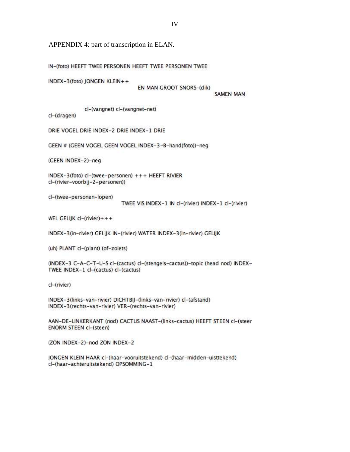APPENDIX 4: part of transcription in ELAN.

IN-(foto) HEEFT TWEE PERSONEN HEEFT TWEE PERSONEN TWEE

NDEX-3(foto) JONGEN KLEIN++

EN MAN GROOT SNORS-(dik)

**SAMEN MAN** 

cl-(vangnet) cl-(vangnet-net)

cl-(dragen)

DRIE VOGEL DRIE INDEX-2 DRIE INDEX-1 DRIE

GEEN # (GEEN VOGEL GEEN VOGEL INDEX-3-B-hand(foto))-neg

(GEEN INDEX-2)-neg

INDEX-3(foto) cl-(twee-personen) +++ HEEFT RIVIER cl-(rivier-voorbij-2-personen))

cl-(twee-personen-lopen)

TWEE VIS INDEX-1 IN cl-(rivier) INDEX-1 cl-(rivier)

WEL GELIJK  $cl$ - $(river)$ +++

INDEX-3(in-rivier) GELIJK IN-(rivier) WATER INDEX-3(in-rivier) GELIJK

(uh) PLANT cl-(plant) (of-zoiets)

(INDEX-3 C-A-C-T-U-S cl-(cactus) cl-(stengels-cactus))-topic (head nod) INDEX-TWEE INDEX-1 cl-(cactus) cl-(cactus)

cl-(rivier)

INDEX-3(links-van-rivier) DICHTBIJ-(links-van-rivier) cl-(afstand) INDEX-3(rechts-van-rivier) VER-(rechts-van-rivier)

AAN-DE-LINKERKANT (nod) CACTUS NAAST-(links-cactus) HEEFT STEEN cl-(steer **ENORM STEEN cl-(steen)** 

(ZON INDEX-2)-nod ZON INDEX-2

JONGEN KLEIN HAAR cl-(haar-vooruitstekend) cl-(haar-midden-uisttekend) cl-(haar-achteruitstekend) OPSOMMING-1